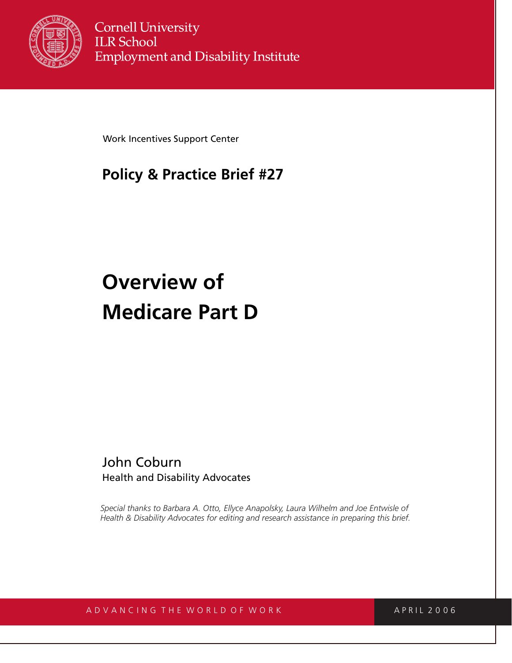

**Cornell University ILR School Employment and Disability Institute** 

Work Incentives Support Center

# **Policy & Practice Brief #27**

# **Overview of Medicare Part D**

John Coburn Health and Disability Advocates

*Special thanks to Barbara A. Otto, Ellyce Anapolsky, Laura Wilhelm and Joe Entwisle of Health & Disability Advocates for editing and research assistance in preparing this brief.*

# A D V A N C I N G T H E W O R L D O F W O R K A P R I L 2 0 0 6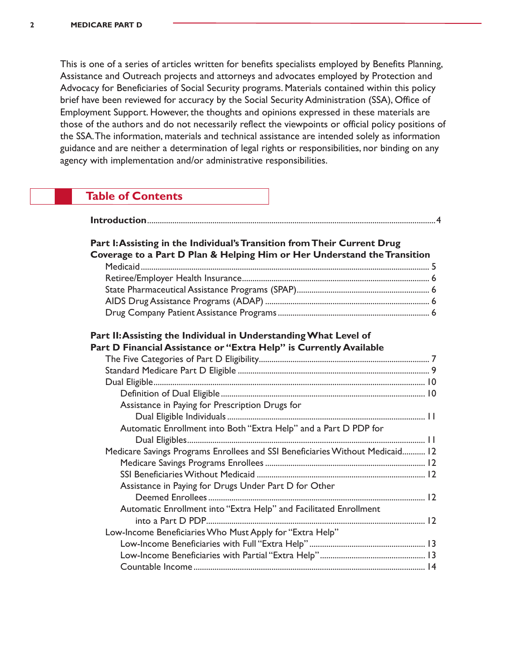This is one of a series of articles written for benefits specialists employed by Benefits Planning, Assistance and Outreach projects and attorneys and advocates employed by Protection and Advocacy for Beneficiaries of Social Security programs. Materials contained within this policy brief have been reviewed for accuracy by the Social Security Administration (SSA), Office of Employment Support. However, the thoughts and opinions expressed in these materials are those of the authors and do not necessarily reflect the viewpoints or official policy positions of the SSA.The information, materials and technical assistance are intended solely as information guidance and are neither a determination of legal rights or responsibilities, nor binding on any agency with implementation and/or administrative responsibilities.

# **Table of Contents**

| Part I: Assisting in the Individual's Transition from Their Current Drug<br>Coverage to a Part D Plan & Helping Him or Her Understand the Transition |
|------------------------------------------------------------------------------------------------------------------------------------------------------|
|                                                                                                                                                      |
|                                                                                                                                                      |
|                                                                                                                                                      |
|                                                                                                                                                      |
|                                                                                                                                                      |
| Part II: Assisting the Individual in Understanding What Level of<br>Part D Financial Assistance or "Extra Help" is Currently Available               |
|                                                                                                                                                      |
|                                                                                                                                                      |
|                                                                                                                                                      |
|                                                                                                                                                      |
| Assistance in Paying for Prescription Drugs for                                                                                                      |
|                                                                                                                                                      |
| Automatic Enrollment into Both "Extra Help" and a Part D PDP for                                                                                     |
|                                                                                                                                                      |
| Medicare Savings Programs Enrollees and SSI Beneficiaries Without Medicaid 12                                                                        |
|                                                                                                                                                      |
|                                                                                                                                                      |
| Assistance in Paying for Drugs Under Part D for Other                                                                                                |
|                                                                                                                                                      |
| Automatic Enrollment into "Extra Help" and Facilitated Enrollment                                                                                    |
|                                                                                                                                                      |
| Low-Income Beneficiaries Who Must Apply for "Extra Help"                                                                                             |
|                                                                                                                                                      |
|                                                                                                                                                      |
|                                                                                                                                                      |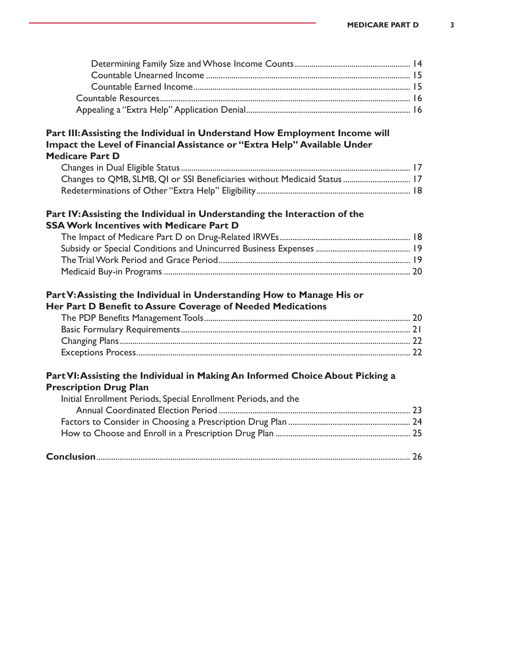#### **Part III: Assisting the Individual in Understand How Employment Income will Impact the Level of Financial Assistance or "Extra Help" Available Under Medicare Part D**

| Changes to QMB, SLMB, QI or SSI Beneficiaries without Medicaid Status 17 |  |
|--------------------------------------------------------------------------|--|
|                                                                          |  |

# **Part IV: Assisting the Individual in Understanding the Interaction of the SSA Work Incentives with Medicare Part D**

# **Part V: Assisting the Individual in Understanding How to Manage His or Her Part D Benefit to Assure Coverage of Needed Medications**

# **Part VI: Assisting the Individual in Making An Informed Choice About Picking a Prescription Drug Plan**

| Initial Enrollment Periods, Special Enrollment Periods, and the |  |
|-----------------------------------------------------------------|--|
|                                                                 |  |
|                                                                 |  |
|                                                                 |  |
|                                                                 |  |
|                                                                 |  |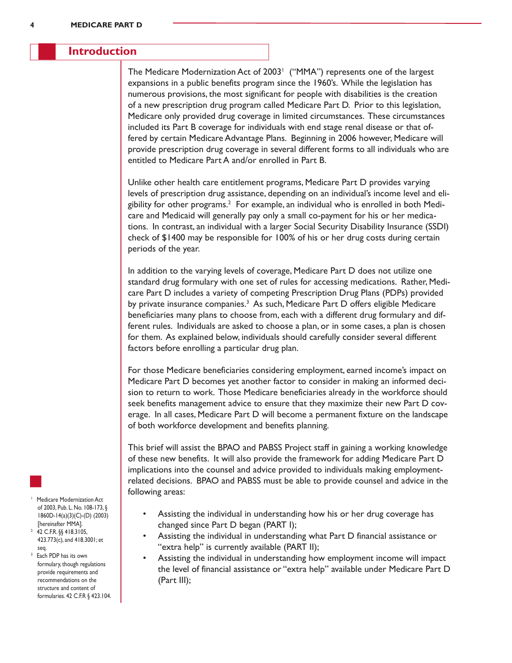#### **Introduction**

The Medicare Modernization Act of 2003<sup>1</sup> ("MMA") represents one of the largest expansions in a public benefits program since the 1960's. While the legislation has numerous provisions, the most significant for people with disabilities is the creation of a new prescription drug program called Medicare Part D. Prior to this legislation, Medicare only provided drug coverage in limited circumstances. These circumstances included its Part B coverage for individuals with end stage renal disease or that offered by certain Medicare Advantage Plans. Beginning in 2006 however, Medicare will provide prescription drug coverage in several different forms to all individuals who are entitled to Medicare Part A and/or enrolled in Part B.

Unlike other health care entitlement programs, Medicare Part D provides varying levels of prescription drug assistance, depending on an individual's income level and eligibility for other programs.<sup>2</sup> For example, an individual who is enrolled in both Medicare and Medicaid will generally pay only a small co-payment for his or her medications. In contrast, an individual with a larger Social Security Disability Insurance (SSDI) check of \$1400 may be responsible for 100% of his or her drug costs during certain periods of the year.

In addition to the varying levels of coverage, Medicare Part D does not utilize one standard drug formulary with one set of rules for accessing medications. Rather, Medicare Part D includes a variety of competing Prescription Drug Plans (PDPs) provided by private insurance companies.<sup>3</sup> As such, Medicare Part D offers eligible Medicare beneficiaries many plans to choose from, each with a different drug formulary and different rules. Individuals are asked to choose a plan, or in some cases, a plan is chosen for them. As explained below, individuals should carefully consider several different factors before enrolling a particular drug plan.

For those Medicare beneficiaries considering employment, earned income's impact on Medicare Part D becomes yet another factor to consider in making an informed decision to return to work. Those Medicare beneficiaries already in the workforce should seek benefits management advice to ensure that they maximize their new Part D coverage. In all cases, Medicare Part D will become a permanent fixture on the landscape of both workforce development and benefits planning.

This brief will assist the BPAO and PABSS Project staff in gaining a working knowledge of these new benefits. It will also provide the framework for adding Medicare Part D implications into the counsel and advice provided to individuals making employmentrelated decisions. BPAO and PABSS must be able to provide counsel and advice in the following areas:

- Assisting the individual in understanding how his or her drug coverage has changed since Part D began (PART I);
	- Assisting the individual in understanding what Part D financial assistance or "extra help" is currently available (PART II);
- Assisting the individual in understanding how employment income will impact the level of financial assistance or "extra help" available under Medicare Part D (Part III);
- <sup>1</sup> Medicare Modernization Act of 2003, Pub. L. No. 108-173, § 1860D-14(a)(3)(C)-(D) (2003) [hereinafter MMA].
- <sup>2</sup> 42 C.F.R. §§ 418.3105, 423.773(c), and 418.3001; et seq.
- <sup>3</sup> Each PDP has its own formulary, though regulations provide requirements and recommendations on the structure and content of formularies. 42 C.F.R § 423.104.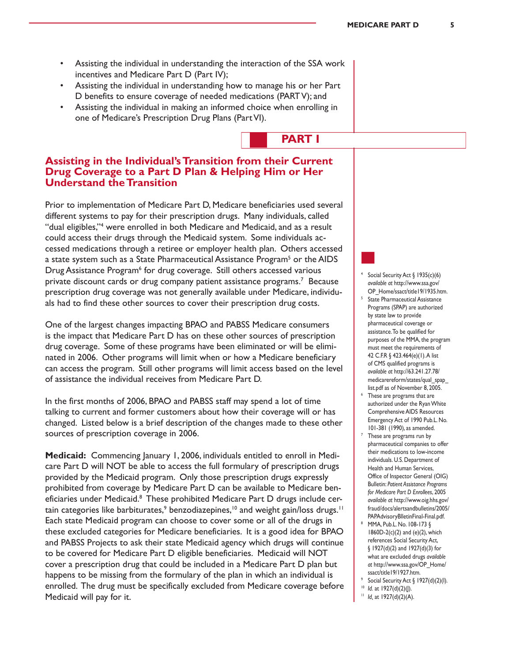- Assisting the individual in understanding the interaction of the SSA work incentives and Medicare Part D (Part IV);
- Assisting the individual in understanding how to manage his or her Part D benefits to ensure coverage of needed medications (PARTV); and
- Assisting the individual in making an informed choice when enrolling in one of Medicare's Prescription Drug Plans (PartVI).



## **Assisting in the Individual's Transition from their Current Drug Coverage to a Part D Plan & Helping Him or Her Understand the Transition**

Prior to implementation of Medicare Part D, Medicare beneficiaries used several different systems to pay for their prescription drugs. Many individuals, called "dual eligibles,"4 were enrolled in both Medicare and Medicaid, and as a result could access their drugs through the Medicaid system. Some individuals accessed medications through a retiree or employer health plan. Others accessed a state system such as a State Pharmaceutical Assistance Program<sup>5</sup> or the AIDS Drug Assistance Program<sup>6</sup> for drug coverage. Still others accessed various private discount cards or drug company patient assistance programs.<sup>7</sup> Because prescription drug coverage was not generally available under Medicare, individuals had to find these other sources to cover their prescription drug costs.

One of the largest changes impacting BPAO and PABSS Medicare consumers is the impact that Medicare Part D has on these other sources of prescription drug coverage. Some of these programs have been eliminated or will be eliminated in 2006. Other programs will limit when or how a Medicare beneficiary can access the program. Still other programs will limit access based on the level of assistance the individual receives from Medicare Part D.

In the first months of 2006, BPAO and PABSS staff may spend a lot of time talking to current and former customers about how their coverage will or has changed. Listed below is a brief description of the changes made to these other sources of prescription coverage in 2006.

**Medicaid:** Commencing January 1, 2006, individuals entitled to enroll in Medicare Part D will NOT be able to access the full formulary of prescription drugs provided by the Medicaid program. Only those prescription drugs expressly prohibited from coverage by Medicare Part D can be available to Medicare beneficiaries under Medicaid.<sup>8</sup> These prohibited Medicare Part D drugs include certain categories like barbiturates,<sup>9</sup> benzodiazepines,<sup>10</sup> and weight gain/loss drugs.<sup>11</sup> Each state Medicaid program can choose to cover some or all of the drugs in these excluded categories for Medicare beneficiaries. It is a good idea for BPAO and PABSS Projects to ask their state Medicaid agency which drugs will continue to be covered for Medicare Part D eligible beneficiaries. Medicaid will NOT cover a prescription drug that could be included in a Medicare Part D plan but happens to be missing from the formulary of the plan in which an individual is enrolled. The drug must be specifically excluded from Medicare coverage before Medicaid will pay for it.

<sup>4</sup> Social Security Act  $\S$  1935(c)(6) *available at* http://www.ssa.gov/ OP\_Home/ssact/title19/1935.htm.

- <sup>5</sup> State Pharmaceutical Assistance Programs (SPAP) are authorized by state law to provide pharmaceutical coverage or assistance.To be qualified for purposes of the MMA, the program must meet the requirements of 42 C.F.R § 423.464(e)(1).A list of CMS qualified programs is *available at* http://63.241.27.78/ medicarereform/states/qual\_spap\_ list.pdf as of November 8, 2005.
- <sup>6</sup> These are programs that are authorized under the RyanWhite Comprehensive AIDS Resources Emergency Act of 1990 Pub.L. No. 101-381 (1990), as amended.
- These are programs run by pharmaceutical companies to offer their medications to low-income individuals. U.S. Department of Health and Human Services, Office of Inspector General (OIG) Bulletin: *Patient Assistance Programs for Medicare Part D Enrollees*, 2005 *available at* http://www.oig.hhs.gov/ fraud/docs/alertsandbulletins/2005/
- PAPAdvisoryBlletinFinal-Final.pdf. MMA, Pub.L. No. 108-173 § 1860D-2(c)(2) and (e)(2), which references Social Security Act, § 1927(d)(2) and 1927(d)(3) for what are excluded drugs *available at* http://www.ssa.gov/OP\_Home/ ssact/title19/1927.htm.
- <sup>9</sup> Social Security Act § 1927(d)(2)(I).

<sup>&</sup>lt;sup>10</sup> *Id.* at 1927(d)(2)(|).

<sup>11</sup> *Id.* at 1927(d)(2)(A).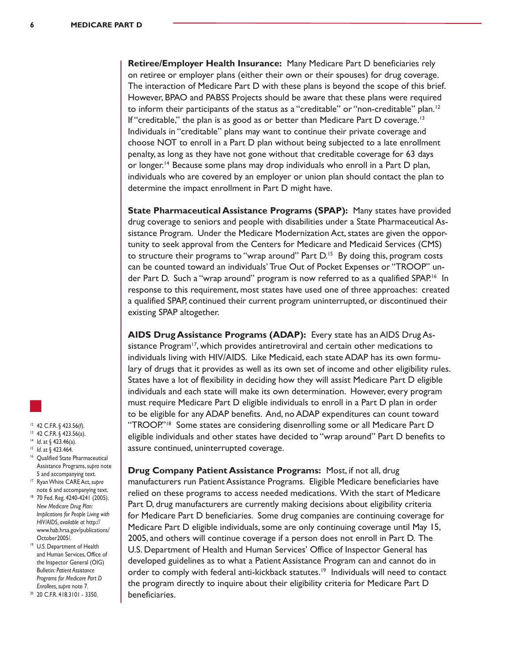**Retiree/Employer Health Insurance:** Many Medicare Part D beneficiaries rely on retiree or employer plans (either their own or their spouses) for drug coverage. The interaction of Medicare Part D with these plans is beyond the scope of this brief. However, BPAO and PABSS Projects should be aware that these plans were required to inform their participants of the status as a "creditable" or "non-creditable" plan.<sup>12</sup> If "creditable," the plan is as good as or better than Medicare Part D coverage.<sup>13</sup> Individuals in "creditable" plans may want to continue their private coverage and choose NOT to enroll in a Part D plan without being subjected to a late enrollment penalty, as long as they have not gone without that creditable coverage for 63 days or longer.<sup>14</sup> Because some plans may drop individuals who enroll in a Part D plan, individuals who are covered by an employer or union plan should contact the plan to determine the impact enrollment in Part D might have.

**State Pharmaceutical Assistance Programs (SPAP):** Many states have provided drug coverage to seniors and people with disabilities under a State Pharmaceutical Assistance Program. Under the Medicare Modernization Act, states are given the opportunity to seek approval from the Centers for Medicare and Medicaid Services (CMS) to structure their programs to "wrap around" Part  $D<sup>15</sup>$  By doing this, program costs can be counted toward an individuals' True Out of Pocket Expenses or "TROOP" under Part D. Such a "wrap around" program is now referred to as a qualified SPAP.<sup>16</sup> In response to this requirement, most states have used one of three approaches: created a qualified SPAP, continued their current program uninterrupted, or discontinued their existing SPAP altogether.

**AIDS Drug Assistance Programs (ADAP):** Every state has an AIDS Drug Assistance Program $17$ , which provides antiretroviral and certain other medications to individuals living with HIV/AIDS. Like Medicaid, each state ADAP has its own formulary of drugs that it provides as well as its own set of income and other eligibility rules. States have a lot of flexibility in deciding how they will assist Medicare Part D eligible individuals and each state will make its own determination. However, every program must require Medicare Part D eligible individuals to enroll in a Part D plan in order to be eligible for any ADAP benefits. And, no ADAP expenditures can count toward "TROOP."<sup>18</sup> Some states are considering disenrolling some or all Medicare Part D eligible individuals and other states have decided to "wrap around" Part D benefits to assure continued, uninterrupted coverage.

**Drug Company Patient Assistance Programs:** Most, if not all, drug manufacturers run Patient Assistance Programs. Eligible Medicare beneficiaries have relied on these programs to access needed medications. With the start of Medicare Part D, drug manufacturers are currently making decisions about eligibility criteria for Medicare Part D beneficiaries. Some drug companies are continuing coverage for Medicare Part D eligible individuals, some are only continuing coverage until May 15, 2005, and others will continue coverage if a person does not enroll in Part D. The U.S. Department of Health and Human Services' Office of Inspector General has developed guidelines as to what a Patient Assistance Program can and cannot do in order to comply with federal anti-kickback statutes.<sup>19</sup> Individuals will need to contact the program directly to inquire about their eligibility criteria for Medicare Part D beneficiaries.



#### <sup>12</sup> 42 C.F.R. § 423.56(f).

- <sup>13</sup> 42 C.F.R. § 423.56(a). <sup>14</sup> *Id*. at § 423.46(a).
- <sup>15</sup> *Id*. at § 423.464.
- <sup>16</sup> Qualified State Pharmaceutical Assistance Programs,*supra* note
- 5 and accompanying text. <sup>17</sup> RyanWhite CARE Act,*supra*
- note 6 and accompanying text. <sup>18</sup> 70 Fed. Reg. 4240-4241 (2005).
- *New Medicare Drug Plan: Implications for People Living with HIV/AIDS, available at* http:// www.hab.hrsa.gov/publications/ October2005/.
- <sup>19</sup> U.S. Department of Health and Human Services, Office of the Inspector General (OIG) Bulletin: *Patient Assistance Programs for Medicare Part D Enrollees, supra* note 7.
- <sup>20</sup> 20 C.F.R. 418.3101 3350.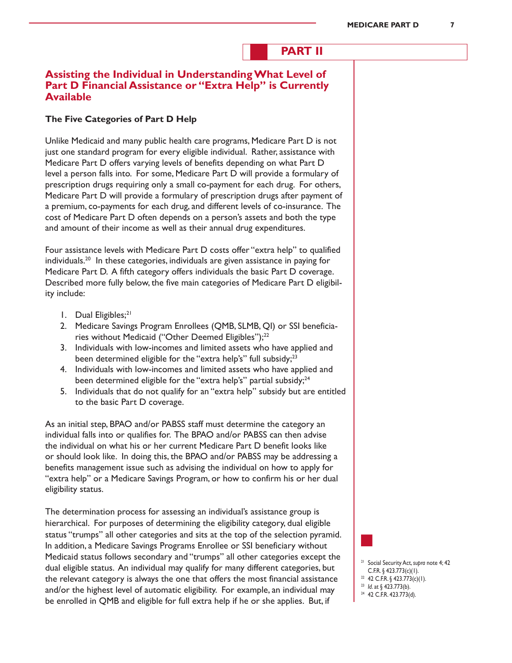# **PART II**

# **Assisting the Individual in Understanding What Level of Part D Financial Assistance or "Extra Help" is Currently Available**

#### **The Five Categories of Part D Help**

Unlike Medicaid and many public health care programs, Medicare Part D is not just one standard program for every eligible individual. Rather, assistance with Medicare Part D offers varying levels of benefits depending on what Part D level a person falls into. For some, Medicare Part D will provide a formulary of prescription drugs requiring only a small co-payment for each drug. For others, Medicare Part D will provide a formulary of prescription drugs after payment of a premium, co-payments for each drug, and different levels of co-insurance. The cost of Medicare Part D often depends on a person's assets and both the type and amount of their income as well as their annual drug expenditures.

Four assistance levels with Medicare Part D costs offer "extra help" to qualified individuals.20 In these categories, individuals are given assistance in paying for Medicare Part D. A fifth category offers individuals the basic Part D coverage. Described more fully below, the five main categories of Medicare Part D eligibility include:

- 1. Dual Eligibles;<sup>21</sup>
- 2. Medicare Savings Program Enrollees (QMB, SLMB, QI) or SSI beneficiaries without Medicaid ("Other Deemed Eligibles");<sup>22</sup>
- 3. Individuals with low-incomes and limited assets who have applied and been determined eligible for the "extra help's" full subsidy;<sup>23</sup>
- 4. Individuals with low-incomes and limited assets who have applied and been determined eligible for the "extra help's" partial subsidy;<sup>24</sup>
- 5. Individuals that do not qualify for an "extra help" subsidy but are entitled to the basic Part D coverage.

As an initial step, BPAO and/or PABSS staff must determine the category an individual falls into or qualifies for. The BPAO and/or PABSS can then advise the individual on what his or her current Medicare Part D benefit looks like or should look like. In doing this, the BPAO and/or PABSS may be addressing a benefits management issue such as advising the individual on how to apply for "extra help" or a Medicare Savings Program, or how to confirm his or her dual eligibility status.

The determination process for assessing an individual's assistance group is hierarchical. For purposes of determining the eligibility category, dual eligible status "trumps" all other categories and sits at the top of the selection pyramid. In addition, a Medicare Savings Programs Enrollee or SSI beneficiary without Medicaid status follows secondary and "trumps" all other categories except the dual eligible status. An individual may qualify for many different categories, but the relevant category is always the one that offers the most financial assistance and/or the highest level of automatic eligibility. For example, an individual may be enrolled in QMB and eligible for full extra help if he or she applies. But, if

<sup>21</sup> Social Security Act,*supra* note 4; 42 C.F.R. § 423.773(c)(1).

- $22$  42 C.F.R. § 423.773(c)(1).
- <sup>23</sup> *Id*. at § 423.773(b).
- <sup>24</sup> 42 C.F.R. 423.773(d).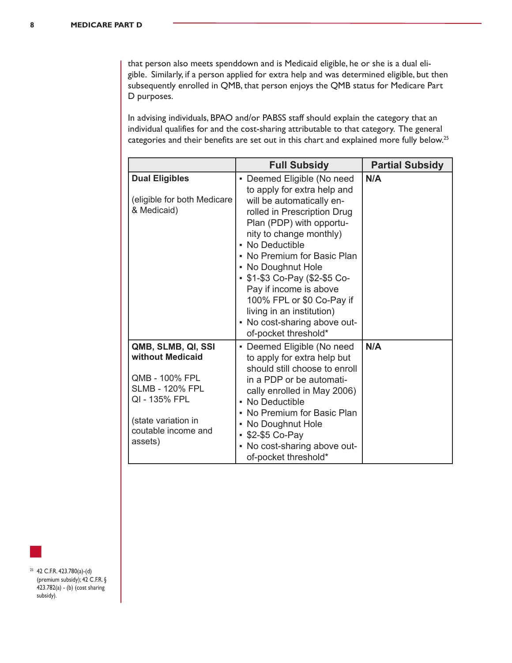that person also meets spenddown and is Medicaid eligible, he or she is a dual eligible. Similarly, if a person applied for extra help and was determined eligible, but then subsequently enrolled in QMB, that person enjoys the QMB status for Medicare Part D purposes.

In advising individuals, BPAO and/or PABSS staff should explain the category that an individual qualifies for and the cost-sharing attributable to that category. The general categories and their benefits are set out in this chart and explained more fully below.25

|                                                                                                                                                              | <b>Full Subsidy</b>                                                                                                                                                                                                                                                                                                                                                                                                               | <b>Partial Subsidy</b> |
|--------------------------------------------------------------------------------------------------------------------------------------------------------------|-----------------------------------------------------------------------------------------------------------------------------------------------------------------------------------------------------------------------------------------------------------------------------------------------------------------------------------------------------------------------------------------------------------------------------------|------------------------|
| <b>Dual Eligibles</b><br>(eligible for both Medicare<br>& Medicaid)                                                                                          | • Deemed Eligible (No need<br>to apply for extra help and<br>will be automatically en-<br>rolled in Prescription Drug<br>Plan (PDP) with opportu-<br>nity to change monthly)<br>• No Deductible<br>• No Premium for Basic Plan<br>• No Doughnut Hole<br>- \$1-\$3 Co-Pay (\$2-\$5 Co-<br>Pay if income is above<br>100% FPL or \$0 Co-Pay if<br>living in an institution)<br>- No cost-sharing above out-<br>of-pocket threshold* | N/A                    |
| QMB, SLMB, QI, SSI<br>without Medicaid<br>QMB - 100% FPL<br><b>SLMB - 120% FPL</b><br>QI - 135% FPL<br>(state variation in<br>coutable income and<br>assets) | • Deemed Eligible (No need<br>to apply for extra help but<br>should still choose to enroll<br>in a PDP or be automati-<br>cally enrolled in May 2006)<br>• No Deductible<br>• No Premium for Basic Plan<br>• No Doughnut Hole<br>• \$2-\$5 Co-Pay<br>- No cost-sharing above out-<br>of-pocket threshold*                                                                                                                         | N/A                    |

<sup>25</sup> 42 C.F.R. 423.780(a)-(d) (premium subsidy); 42 C.F.R. § 423.782(a) - (b) (cost sharing subsidy).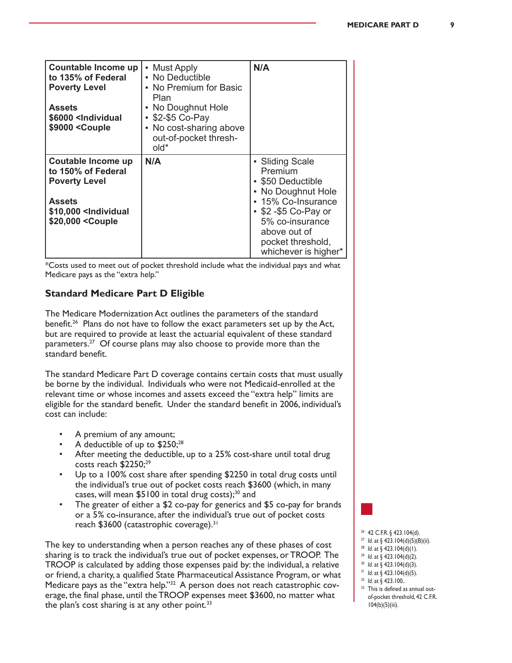| Countable Income up<br>to 135% of Federal<br><b>Poverty Level</b><br><b>Assets</b><br>\$6000 <lndividual<br>\$9000 <couple< th=""><th>• Must Apply<br/>• No Deductible<br/>• No Premium for Basic<br/>Plan<br/>• No Doughnut Hole<br/>• \$2-\$5 Co-Pay<br/>• No cost-sharing above<br/>out-of-pocket thresh-<br/>old*</th><th>N/A</th></couple<></lndividual<br>                                 | • Must Apply<br>• No Deductible<br>• No Premium for Basic<br>Plan<br>• No Doughnut Hole<br>• \$2-\$5 Co-Pay<br>• No cost-sharing above<br>out-of-pocket thresh-<br>old* | N/A                                                                                                                                                                                                 |
|--------------------------------------------------------------------------------------------------------------------------------------------------------------------------------------------------------------------------------------------------------------------------------------------------------------------------------------------------------------------------------------------------|-------------------------------------------------------------------------------------------------------------------------------------------------------------------------|-----------------------------------------------------------------------------------------------------------------------------------------------------------------------------------------------------|
| Coutable Income up<br>to 150% of Federal<br><b>Poverty Level</b><br><b>Assets</b><br>\$10,000 <lndividual<br>\$20,000 <couple< th=""><th>N/A</th><th>• Sliding Scale<br/>Premium<br/>• \$50 Deductible<br/>• No Doughnut Hole<br/>• 15% Co-Insurance<br/>• \$2 -\$5 Co-Pay or<br/>5% co-insurance<br/>above out of<br/>pocket threshold,<br/>whichever is higher*</th></couple<></lndividual<br> | N/A                                                                                                                                                                     | • Sliding Scale<br>Premium<br>• \$50 Deductible<br>• No Doughnut Hole<br>• 15% Co-Insurance<br>• \$2 -\$5 Co-Pay or<br>5% co-insurance<br>above out of<br>pocket threshold,<br>whichever is higher* |

\*Costs used to meet out of pocket threshold include what the individual pays and what Medicare pays as the "extra help."

## **Standard Medicare Part D Eligible**

The Medicare Modernization Act outlines the parameters of the standard benefit.<sup>26</sup> Plans do not have to follow the exact parameters set up by the Act, but are required to provide at least the actuarial equivalent of these standard parameters.<sup>27</sup> Of course plans may also choose to provide more than the standard benefit.

The standard Medicare Part D coverage contains certain costs that must usually be borne by the individual. Individuals who were not Medicaid-enrolled at the relevant time or whose incomes and assets exceed the "extra help" limits are eligible for the standard benefit. Under the standard benefit in 2006, individual's cost can include:

- A premium of any amount;
- A deductible of up to \$250;<sup>28</sup>
- After meeting the deductible, up to a 25% cost-share until total drug costs reach \$2250;<sup>29</sup>
- Up to a 100% cost share after spending \$2250 in total drug costs until the individual's true out of pocket costs reach \$3600 (which, in many cases, will mean  $$5100$  in total drug costs);<sup>30</sup> and
- The greater of either a \$2 co-pay for generics and \$5 co-pay for brands or a 5% co-insurance, after the individual's true out of pocket costs reach \$3600 (catastrophic coverage).<sup>31</sup>

The key to understanding when a person reaches any of these phases of cost sharing is to track the individual's true out of pocket expenses, or TROOP. The TROOP is calculated by adding those expenses paid by: the individual, a relative or friend, a charity, a qualified State Pharmaceutical Assistance Program, or what Medicare pays as the "extra help."32 A person does not reach catastrophic coverage, the final phase, until the TROOP expenses meet \$3600, no matter what the plan's cost sharing is at any other point. $33$ 

- 
- <sup>26</sup> 42 C.F.R. § 423.104(d).
- <sup>27</sup> *Id*. at § 423.104(d)(5)(B)(ii). <sup>28</sup> *Id*. at § 423.104(d)(1).
- <sup>29</sup> *Id*. at § 423.104(d)(2).
- <sup>30</sup> *Id*. at § 423.104(d)(3).
- <sup>31</sup> *Id*. at § 423.104(d)(5).
- <sup>32</sup> *Id*. at § 423.100..
- 33 This is defined as annual outof-pocket threshold, 42 C.F.R. 104(b)(5)(iii).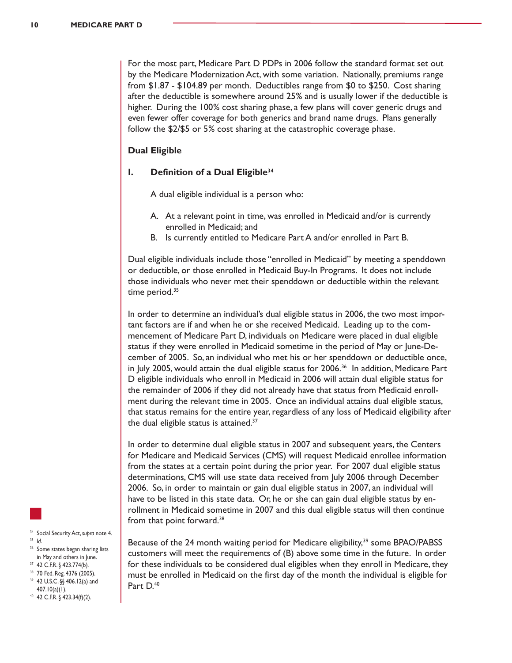For the most part, Medicare Part D PDPs in 2006 follow the standard format set out by the Medicare Modernization Act, with some variation. Nationally, premiums range from \$1.87 - \$104.89 per month. Deductibles range from \$0 to \$250. Cost sharing after the deductible is somewhere around 25% and is usually lower if the deductible is higher. During the 100% cost sharing phase, a few plans will cover generic drugs and even fewer offer coverage for both generics and brand name drugs. Plans generally follow the \$2/\$5 or 5% cost sharing at the catastrophic coverage phase.

#### **Dual Eligible**

#### **I. Definition of a Dual Eligible34**

A dual eligible individual is a person who:

- A. At a relevant point in time, was enrolled in Medicaid and/or is currently enrolled in Medicaid; and
- B. Is currently entitled to Medicare Part A and/or enrolled in Part B.

Dual eligible individuals include those "enrolled in Medicaid" by meeting a spenddown or deductible, or those enrolled in Medicaid Buy-In Programs. It does not include those individuals who never met their spenddown or deductible within the relevant time period. $35$ 

In order to determine an individual's dual eligible status in 2006, the two most important factors are if and when he or she received Medicaid. Leading up to the commencement of Medicare Part D, individuals on Medicare were placed in dual eligible status if they were enrolled in Medicaid sometime in the period of May or June-December of 2005. So, an individual who met his or her spenddown or deductible once, in July 2005, would attain the dual eligible status for 2006.<sup>36</sup> In addition, Medicare Part D eligible individuals who enroll in Medicaid in 2006 will attain dual eligible status for the remainder of 2006 if they did not already have that status from Medicaid enrollment during the relevant time in 2005. Once an individual attains dual eligible status, that status remains for the entire year, regardless of any loss of Medicaid eligibility after the dual eligible status is attained.<sup>37</sup>

In order to determine dual eligible status in 2007 and subsequent years, the Centers for Medicare and Medicaid Services (CMS) will request Medicaid enrollee information from the states at a certain point during the prior year. For 2007 dual eligible status determinations, CMS will use state data received from July 2006 through December 2006. So, in order to maintain or gain dual eligible status in 2007, an individual will have to be listed in this state data. Or, he or she can gain dual eligible status by enrollment in Medicaid sometime in 2007 and this dual eligible status will then continue from that point forward.<sup>38</sup>

Because of the 24 month waiting period for Medicare eligibility,<sup>39</sup> some BPAO/PABSS customers will meet the requirements of (B) above some time in the future. In order for these individuals to be considered dual eligibles when they enroll in Medicare, they must be enrolled in Medicaid on the first day of the month the individual is eligible for Part D.<sup>40</sup>



<sup>34</sup> Social Security Act,*supra* note 4. <sup>35</sup> *Id*.

- <sup>36</sup> Some states began sharing lists in May and others in June.
- <sup>37</sup> 42 C.F.R. § 423.774(b).
- <sup>38</sup> 70 Fed. Reg. 4376 (2005). <sup>39</sup> 42 U.S.C. §§ 406.12(a) and
- 407.10(a)(1). <sup>40</sup> 42 C.F.R. § 423.34(f)(2).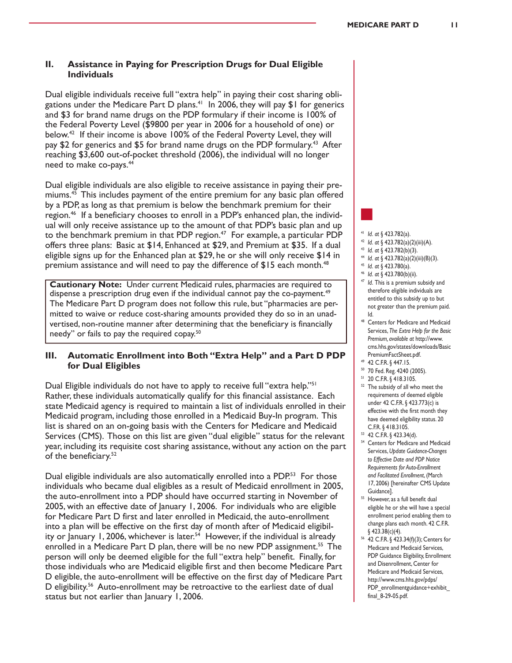#### **II. Assistance in Paying for Prescription Drugs for Dual Eligible Individuals**

Dual eligible individuals receive full "extra help" in paying their cost sharing obligations under the Medicare Part D plans.<sup>41</sup> In 2006, they will pay \$1 for generics and \$3 for brand name drugs on the PDP formulary if their income is 100% of the Federal Poverty Level (\$9800 per year in 2006 for a household of one) or below.42 If their income is above 100% of the Federal Poverty Level, they will pay \$2 for generics and \$5 for brand name drugs on the PDP formulary.<sup>43</sup> After reaching \$3,600 out-of-pocket threshold (2006), the individual will no longer need to make co-pays.44

Dual eligible individuals are also eligible to receive assistance in paying their premiums.45 This includes payment of the entire premium for any basic plan offered by a PDP, as long as that premium is below the benchmark premium for their region.46 If a beneficiary chooses to enroll in a PDP's enhanced plan, the individual will only receive assistance up to the amount of that PDP's basic plan and up to the benchmark premium in that PDP region.<sup>47</sup> For example, a particular PDP offers three plans: Basic at \$14, Enhanced at \$29, and Premium at \$35. If a dual eligible signs up for the Enhanced plan at \$29, he or she will only receive \$14 in premium assistance and will need to pay the difference of  $$15$  each month.<sup>48</sup>

**Cautionary Note:** Under current Medicaid rules, pharmacies are required to dispense a prescription drug even if the individual cannot pay the co-payment.<sup>49</sup> The Medicare Part D program does not follow this rule, but "pharmacies are permitted to waive or reduce cost-sharing amounts provided they do so in an unadvertised, non-routine manner after determining that the beneficiary is financially needy" or fails to pay the required copay.<sup>50</sup>

#### **III. Automatic Enrollment into Both "Extra Help" and a Part D PDP for Dual Eligibles**

Dual Eligible individuals do not have to apply to receive full "extra help."<sup>51</sup> Rather, these individuals automatically qualify for this financial assistance. Each state Medicaid agency is required to maintain a list of individuals enrolled in their Medicaid program, including those enrolled in a Medicaid Buy-In program. This list is shared on an on-going basis with the Centers for Medicare and Medicaid Services (CMS). Those on this list are given "dual eligible" status for the relevant year, including its requisite cost sharing assistance, without any action on the part of the beneficiary.52

Dual eligible individuals are also automatically enrolled into a PDP.<sup>53</sup> For those individuals who became dual eligibles as a result of Medicaid enrollment in 2005, the auto-enrollment into a PDP should have occurred starting in November of 2005, with an effective date of January 1, 2006. For individuals who are eligible for Medicare Part D first and later enrolled in Medicaid, the auto-enrollment into a plan will be effective on the first day of month after of Medicaid eligibility or January 1, 2006, whichever is later.<sup>54</sup> However, if the individual is already enrolled in a Medicare Part D plan, there will be no new PDP assignment.<sup>55</sup> The person will only be deemed eligible for the full "extra help" benefit. Finally, for those individuals who are Medicaid eligible first and then become Medicare Part D eligible, the auto-enrollment will be effective on the first day of Medicare Part D eligibility.<sup>56</sup> Auto-enrollment may be retroactive to the earliest date of dual status but not earlier than January 1, 2006.

#### <sup>41</sup> *Id*. *at* § 423.782(a).

- <sup>42</sup> *Id*. *at* § 423.782(a)(2)(iii)(A).
- <sup>43</sup> *Id*. *at* § 423.782(b)(3).
- <sup>44</sup> *Id*. *at* § 423.782(a)(2)(iii)(B)(3).
- <sup>45</sup> *Id*. *at* § 423.780(a).
- <sup>46</sup> *Id*. *at* § 423.780(b)(ii).
- <sup>47</sup> *Id*. This is a premium subsidy and therefore eligible individuals are entitled to this subsidy up to but not greater than the premium paid. Id.
- <sup>48</sup> Centers for Medicare and Medicaid Services, *The Extra Help for the Basic Premium, available at* http://www. cms.hhs.gov/states/downloads/Basic PremiumFactSheet.pdf.
- <sup>49</sup> 42 C.F.R. § 447.15.
- <sup>50</sup> 70 Fed. Reg. 4240 (2005).
- <sup>51</sup> 20 C.F.R. § 418.3105.
- <sup>52</sup> The subsidy of all who meet the requirements of deemed eligible under 42 C.F.R. § 423.773(c) is effective with the first month they have deemed eligibility status. 20 C.F.R. § 418.3105.
- <sup>53</sup> 42 C.F.R. § 423.34(d).
- <sup>54</sup> Centers for Medicare and Medicaid Services, *Update Guidance-Changes to Effective Date and PDP Notice Requirements for Auto-Enrollment and Facilitated Enrollment*, (March 17, 2006) [hereinafter CMS Update Guidance].
- 55 However, as a full benefit dual eligible he or she will have a special enrollment period enabling them to change plans each month. 42 C.F.R. § 423.38(c)(4).
- <sup>56</sup> 42 C.F.R. § 423.34(f)(3); Centers for Medicare and Medicaid Services, PDP Guidance Eligibility, Enrollment and Disenrollment, Center for Medicare and Medicaid Services, http://www.cms.hhs.gov/pdps/ PDP\_enrollmentguidance+exhibit final\_8-29-05.pdf.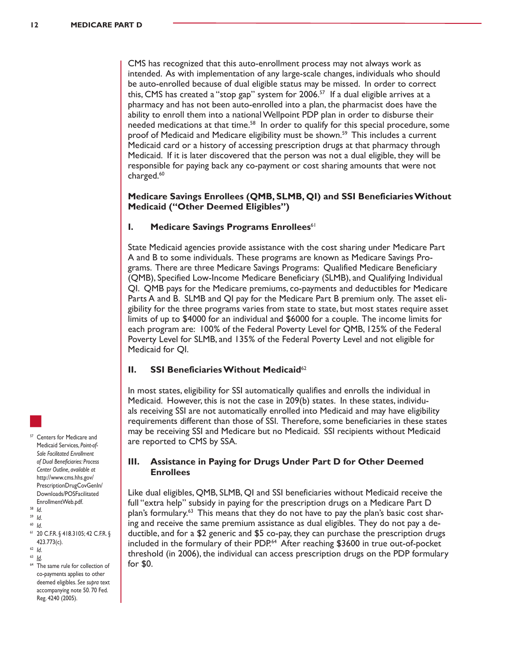CMS has recognized that this auto-enrollment process may not always work as intended. As with implementation of any large-scale changes, individuals who should be auto-enrolled because of dual eligible status may be missed. In order to correct this, CMS has created a "stop gap" system for  $2006$ <sup>57</sup> If a dual eligible arrives at a pharmacy and has not been auto-enrolled into a plan, the pharmacist does have the ability to enroll them into a national Wellpoint PDP plan in order to disburse their needed medications at that time.<sup>58</sup> In order to qualify for this special procedure, some proof of Medicaid and Medicare eligibility must be shown.<sup>59</sup> This includes a current Medicaid card or a history of accessing prescription drugs at that pharmacy through Medicaid. If it is later discovered that the person was not a dual eligible, they will be responsible for paying back any co-payment or cost sharing amounts that were not charged.<sup>60</sup>

#### **Medicare Savings Enrollees (QMB, SLMB, QI) and SSI Beneficiaries Without Medicaid ("Other Deemed Eligibles")**

#### **I.** Medicare Savings Programs Enrollees<sup>61</sup>

State Medicaid agencies provide assistance with the cost sharing under Medicare Part A and B to some individuals. These programs are known as Medicare Savings Programs. There are three Medicare Savings Programs: Qualified Medicare Beneficiary (QMB), Specified Low-Income Medicare Beneficiary (SLMB), and Qualifying Individual QI. QMB pays for the Medicare premiums, co-payments and deductibles for Medicare Parts A and B. SLMB and QI pay for the Medicare Part B premium only. The asset eligibility for the three programs varies from state to state, but most states require asset limits of up to \$4000 for an individual and \$6000 for a couple. The income limits for each program are: 100% of the Federal Poverty Level for QMB, 125% of the Federal Poverty Level for SLMB, and 135% of the Federal Poverty Level and not eligible for Medicaid for QI.

#### **II.** SSI Beneficiaries Without Medicaid<sup>62</sup>

In most states, eligibility for SSI automatically qualifies and enrolls the individual in Medicaid. However, this is not the case in 209(b) states. In these states, individuals receiving SSI are not automatically enrolled into Medicaid and may have eligibility requirements different than those of SSI. Therefore, some beneficiaries in these states may be receiving SSI and Medicare but no Medicaid. SSI recipients without Medicaid are reported to CMS by SSA.

#### **III. Assistance in Paying for Drugs Under Part D for Other Deemed Enrollees**

Like dual eligibles, QMB, SLMB, QI and SSI beneficiaries without Medicaid receive the full "extra help" subsidy in paying for the prescription drugs on a Medicare Part D plan's formulary.<sup>63</sup> This means that they do not have to pay the plan's basic cost sharing and receive the same premium assistance as dual eligibles. They do not pay a deductible, and for a \$2 generic and \$5 co-pay, they can purchase the prescription drugs included in the formulary of their PDP.<sup>64</sup> After reaching \$3600 in true out-of-pocket threshold (in 2006), the individual can access prescription drugs on the PDP formulary for \$0.

- <sup>57</sup> Centers for Medicare and Medicaid Services, *Point-of-Sale Facilitated Enrollment of Dual Beneficiaries: Process Center Outline, available at* http://www.cms.hhs.gov/ PrescriptionDrugCovGenIn/ Downloads/POSFacilitated EnrollmentWeb.pdf.
- <sup>58</sup> *Id*.
- <sup>59</sup> *Id*. <sup>60</sup> *Id*.
- 
- <sup>61</sup> 20 C.F.R. § 418.3105; 42 C.F.R. § 423.773(c).
- <sup>62</sup> *Id*. <sup>63</sup> *Id*.
- <sup>64</sup> The same rule for collection of co-payments applies to other deemed eligibles. *See supra* text accompanying note 50. 70 Fed. Reg. 4240 (2005).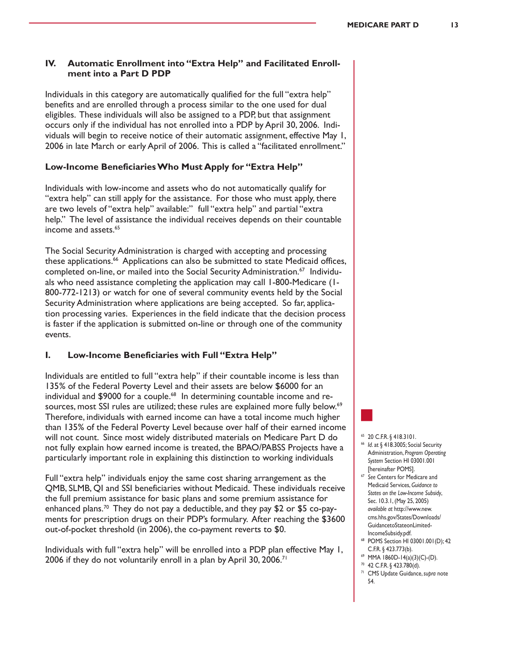#### **IV. Automatic Enrollment into "Extra Help" and Facilitated Enrollment into a Part D PDP**

Individuals in this category are automatically qualified for the full "extra help" benefits and are enrolled through a process similar to the one used for dual eligibles. These individuals will also be assigned to a PDP, but that assignment occurs only if the individual has not enrolled into a PDP by April 30, 2006. Individuals will begin to receive notice of their automatic assignment, effective May 1, 2006 in late March or early April of 2006. This is called a "facilitated enrollment."

#### **Low-Income Beneficiaries Who Must Apply for "Extra Help"**

Individuals with low-income and assets who do not automatically qualify for "extra help" can still apply for the assistance. For those who must apply, there are two levels of "extra help" available:" full "extra help" and partial "extra help." The level of assistance the individual receives depends on their countable income and assets.<sup>65</sup>

The Social Security Administration is charged with accepting and processing these applications.<sup>66</sup> Applications can also be submitted to state Medicaid offices, completed on-line, or mailed into the Social Security Administration.<sup>67</sup> Individuals who need assistance completing the application may call 1-800-Medicare (1- 800-772-1213) or watch for one of several community events held by the Social Security Administration where applications are being accepted. So far, application processing varies. Experiences in the field indicate that the decision process is faster if the application is submitted on-line or through one of the community events.

#### **I. Low-Income Beneficiaries with Full "Extra Help"**

Individuals are entitled to full "extra help" if their countable income is less than 135% of the Federal Poverty Level and their assets are below \$6000 for an individual and \$9000 for a couple.<sup>68</sup> In determining countable income and resources, most SSI rules are utilized; these rules are explained more fully below.<sup>69</sup> Therefore, individuals with earned income can have a total income much higher than 135% of the Federal Poverty Level because over half of their earned income will not count. Since most widely distributed materials on Medicare Part D do not fully explain how earned income is treated, the BPAO/PABSS Projects have a particularly important role in explaining this distinction to working individuals

Full "extra help" individuals enjoy the same cost sharing arrangement as the QMB, SLMB, QI and SSI beneficiaries without Medicaid. These individuals receive the full premium assistance for basic plans and some premium assistance for enhanced plans.<sup>70</sup> They do not pay a deductible, and they pay \$2 or \$5 co-payments for prescription drugs on their PDP's formulary. After reaching the \$3600 out-of-pocket threshold (in 2006), the co-payment reverts to \$0.

Individuals with full "extra help" will be enrolled into a PDP plan effective May 1, 2006 if they do not voluntarily enroll in a plan by April 30, 2006.<sup>71</sup>

#### <sup>65</sup> 20 C.F.R. § 418.3101.

- <sup>66</sup> *Id*. at § 418.3005; Social Security Administration, *Program Operating System* Section HI 03001.001 [hereinafter POMS].
- <sup>67</sup> *See* Centers for Medicare and Medicaid Services, *Guidance to States on the Low-Income Subsidy*, Sec. 10.3.1, (May 25, 2005) *available at* http://www.new. cms.hhs.gov/States/Downloads/ GuidancetoStateonLimited-IncomeSubsidy.pdf.
- <sup>68</sup> POMS Section HI 03001.001(D); 42 C.F.R. § 423.773(b).
- <sup>69</sup> MMA 1860D-14(a)(3)(C)-(D).
- <sup>70</sup> 42 C.F.R. § 423.780(d). <sup>71</sup> CMS Update Guidance, *supra* note
- 54.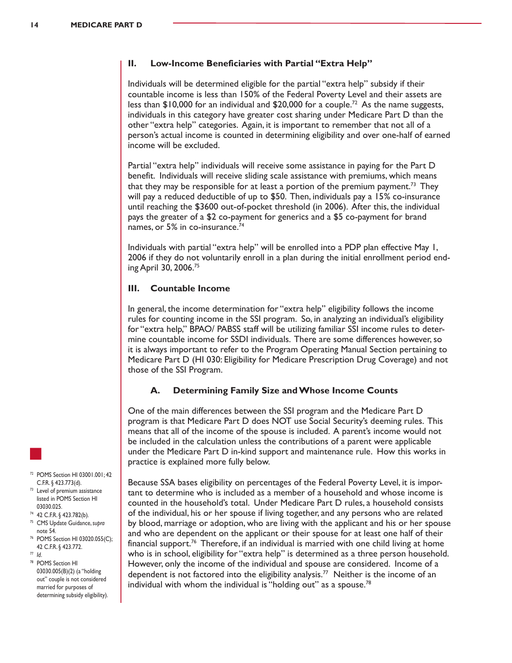#### **II. Low-Income Beneficiaries with Partial "Extra Help"**

Individuals will be determined eligible for the partial "extra help" subsidy if their countable income is less than 150% of the Federal Poverty Level and their assets are less than \$10,000 for an individual and \$20,000 for a couple.<sup>72</sup> As the name suggests, individuals in this category have greater cost sharing under Medicare Part D than the other "extra help" categories. Again, it is important to remember that not all of a person's actual income is counted in determining eligibility and over one-half of earned income will be excluded.

Partial "extra help" individuals will receive some assistance in paying for the Part D benefit. Individuals will receive sliding scale assistance with premiums, which means that they may be responsible for at least a portion of the premium payment.<sup>73</sup> They will pay a reduced deductible of up to \$50. Then, individuals pay a 15% co-insurance until reaching the \$3600 out-of-pocket threshold (in 2006). After this, the individual pays the greater of a \$2 co-payment for generics and a \$5 co-payment for brand names, or 5% in co-insurance.<sup>74</sup>

Individuals with partial "extra help" will be enrolled into a PDP plan effective May 1, 2006 if they do not voluntarily enroll in a plan during the initial enrollment period ending April 30, 2006.75

# **III. Countable Income**

In general, the income determination for "extra help" eligibility follows the income rules for counting income in the SSI program. So, in analyzing an individual's eligibility for "extra help," BPAO/ PABSS staff will be utilizing familiar SSI income rules to determine countable income for SSDI individuals. There are some differences however,so it is always important to refer to the Program Operating Manual Section pertaining to Medicare Part D (HI 030: Eligibility for Medicare Prescription Drug Coverage) and not those of the SSI Program.

## **A. Determining Family Size and Whose Income Counts**

One of the main differences between the SSI program and the Medicare Part D program is that Medicare Part D does NOT use Social Security's deeming rules. This means that all of the income of the spouse is included. A parent's income would not be included in the calculation unless the contributions of a parent were applicable under the Medicare Part D in-kind support and maintenance rule. How this works in practice is explained more fully below.

Because SSA bases eligibility on percentages of the Federal Poverty Level, it is important to determine who is included as a member of a household and whose income is counted in the household's total. Under Medicare Part D rules, a household consists of the individual, his or her spouse if living together, and any persons who are related by blood, marriage or adoption, who are living with the applicant and his or her spouse and who are dependent on the applicant or their spouse for at least one half of their financial support.<sup>76</sup> Therefore, if an individual is married with one child living at home who is in school, eligibility for "extra help" is determined as a three person household. However, only the income of the individual and spouse are considered. Income of a dependent is not factored into the eligibility analysis.<sup>77</sup> Neither is the income of an individual with whom the individual is "holding out" as a spouse.<sup>78</sup>



- <sup>72</sup> POMS Section HI 03001.001; 42 C.F.R. § 423.773(d).
- <sup>73</sup> Level of premium assistance listed in POMS Section HI 03030.025.
- <sup>74</sup> 42 C.F.R. § 423.782(b).
- <sup>75</sup> CMS Update Guidance, *supra* note 54.
- <sup>76</sup> POMS Section HI 03020.055(C); 42 C.F.R. § 423.772.
- <sup>77</sup> *Id*.
- <sup>78</sup> POMS Section HI 03030.005(B)(2) (a "holding out" couple is not considered married for purposes of determining subsidy eligibility).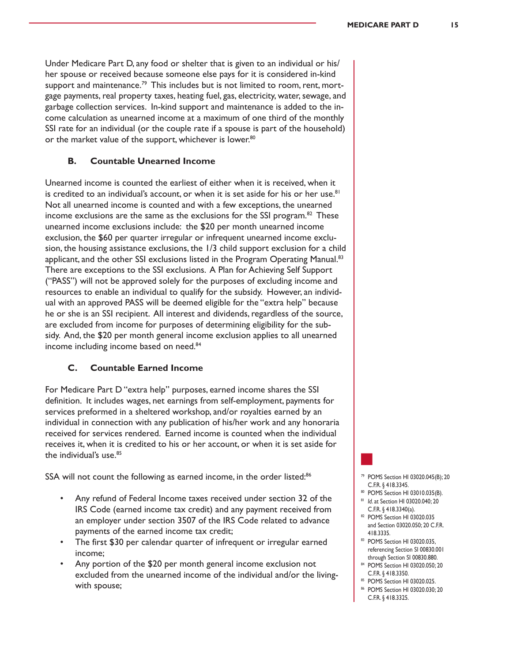Under Medicare Part D, any food or shelter that is given to an individual or his/ her spouse or received because someone else pays for it is considered in-kind support and maintenance.<sup>79</sup> This includes but is not limited to room, rent, mortgage payments, real property taxes, heating fuel, gas, electricity, water, sewage, and garbage collection services. In-kind support and maintenance is added to the income calculation as unearned income at a maximum of one third of the monthly SSI rate for an individual (or the couple rate if a spouse is part of the household) or the market value of the support, whichever is lower.<sup>80</sup>

#### **B. Countable Unearned Income**

Unearned income is counted the earliest of either when it is received, when it is credited to an individual's account, or when it is set aside for his or her use.<sup>81</sup> Not all unearned income is counted and with a few exceptions, the unearned income exclusions are the same as the exclusions for the SSI program.<sup>82</sup> These unearned income exclusions include: the \$20 per month unearned income exclusion, the \$60 per quarter irregular or infrequent unearned income exclusion, the housing assistance exclusions, the 1/3 child support exclusion for a child applicant, and the other SSI exclusions listed in the Program Operating Manual.<sup>83</sup> There are exceptions to the SSI exclusions. A Plan for Achieving Self Support ("PASS") will not be approved solely for the purposes of excluding income and resources to enable an individual to qualify for the subsidy. However, an individual with an approved PASS will be deemed eligible for the "extra help" because he or she is an SSI recipient. All interest and dividends, regardless of the source, are excluded from income for purposes of determining eligibility for the subsidy. And, the \$20 per month general income exclusion applies to all unearned income including income based on need.<sup>84</sup>

#### **C. Countable Earned Income**

For Medicare Part D "extra help" purposes, earned income shares the SSI definition. It includes wages, net earnings from self-employment, payments for services preformed in a sheltered workshop, and/or royalties earned by an individual in connection with any publication of his/her work and any honoraria received for services rendered. Earned income is counted when the individual receives it, when it is credited to his or her account, or when it is set aside for the individual's use.<sup>85</sup>

SSA will not count the following as earned income, in the order listed:<sup>86</sup>

- Any refund of Federal Income taxes received under section 32 of the IRS Code (earned income tax credit) and any payment received from an employer under section 3507 of the IRS Code related to advance payments of the earned income tax credit;
- The first \$30 per calendar quarter of infrequent or irregular earned income;
- Any portion of the \$20 per month general income exclusion not excluded from the unearned income of the individual and/or the livingwith spouse;

# <sup>79</sup> POMS Section HI 03020.045(B); 20

- C.F.R. § 418.3345. <sup>80</sup> POMS Section HI 03010.035(B).
- <sup>81</sup> *Id*. at Section HI 03020.040; 20
- C.F.R. § 418.3340(a).
- <sup>82</sup> POMS Section HI 03020.035 and Section 03020.050; 20 C.F.R. 418.3335.
- <sup>83</sup> POMS Section HI 03020.035, referencing Section SI 00830.001 through Section SI 00830.880.
- <sup>84</sup> POMS Section HI 03020.050; 20 C.F.R. § 418.3350.
- <sup>85</sup> POMS Section HI 03020.025.
- <sup>86</sup> POMS Section HI 03020.030; 20 C.F.R. § 418.3325.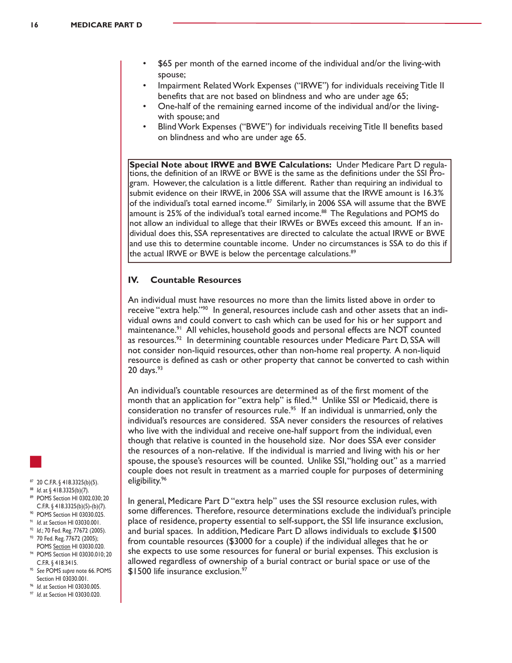- \$65 per month of the earned income of the individual and/or the living-with spouse;
- Impairment Related Work Expenses ("IRWE") for individuals receiving Title II benefits that are not based on blindness and who are under age 65;
- One-half of the remaining earned income of the individual and/or the livingwith spouse; and
- Blind Work Expenses ("BWE") for individuals receiving Title II benefits based on blindness and who are under age 65.

**Special Note about IRWE and BWE Calculations:** Under Medicare Part D regula-<br>tions, the definition of an IRWE or BWE is the same as the definitions under the SSI Program. However, the calculation is a little different. Rather than requiring an individual to submit evidence on their IRWE, in 2006 SSA will assume that the IRWE amount is 16.3% of the individual's total earned income.<sup>87</sup> Similarly, in 2006 SSA will assume that the BWE amount is 25% of the individual's total earned income.<sup>88</sup> The Regulations and POMS do not allow an individual to allege that their IRWEs or BWEs exceed this amount. If an individual does this, SSA representatives are directed to calculate the actual IRWE or BWE and use this to determine countable income. Under no circumstances is SSA to do this if the actual IRWE or BWE is below the percentage calculations.<sup>89</sup>

#### **IV. Countable Resources**

An individual must have resources no more than the limits listed above in order to receive "extra help."<sup>90</sup> In general, resources include cash and other assets that an individual owns and could convert to cash which can be used for his or her support and maintenance.<sup>91</sup> All vehicles, household goods and personal effects are NOT counted as resources.<sup>92</sup> In determining countable resources under Medicare Part D, SSA will not consider non-liquid resources, other than non-home real property. A non-liquid resource is defined as cash or other property that cannot be converted to cash within  $20 \text{ days.}^{93}$ 

An individual's countable resources are determined as of the first moment of the month that an application for "extra help" is filed.<sup>94</sup> Unlike SSI or Medicaid, there is consideration no transfer of resources rule.<sup>95</sup> If an individual is unmarried, only the individual's resources are considered. SSA never considers the resources of relatives who live with the individual and receive one-half support from the individual, even though that relative is counted in the household size. Nor does SSA ever consider the resources of a non-relative. If the individual is married and living with his or her spouse, the spouse's resources will be counted. Unlike SSI,"holding out" as a married couple does not result in treatment as a married couple for purposes of determining eligibility.96

- <sup>87</sup> 20 C.F.R. § 418.3325(b)(5).
- <sup>88</sup> *Id*. at § 418.3325(b)(7).
- <sup>89</sup> POMS Section HI 0302.030; 20 C.F.R. § 418.3325(b)(5)-(b)(7).
- <sup>90</sup> POMS Section HI 03030.025.
- <sup>91</sup> *Id*. at Section HI 03030.001.
- <sup>92</sup> *Id*.; 70 Fed. Reg. 77672 (2005).
- <sup>93</sup> 70 Fed. Reg. 77672 (2005); POMS Section HI 03030.020.
- <sup>94</sup> POMS Section HI 03030.010; 20 C.F.R. § 418.3415.
- <sup>95</sup> *See* POMS *supra* note 66. POMS Section HI 03030.001.
- <sup>96</sup> *Id*. at Section HI 03030.005.
- <sup>97</sup> *Id*. at Section HI 03030.020.

In general, Medicare Part D "extra help" uses the SSI resource exclusion rules, with some differences. Therefore, resource determinations exclude the individual's principle place of residence, property essential to self-support, the SSI life insurance exclusion, and burial spaces. In addition, Medicare Part D allows individuals to exclude \$1500 from countable resources (\$3000 for a couple) if the individual alleges that he or she expects to use some resources for funeral or burial expenses. This exclusion is allowed regardless of ownership of a burial contract or burial space or use of the \$1500 life insurance exclusion.<sup>97</sup>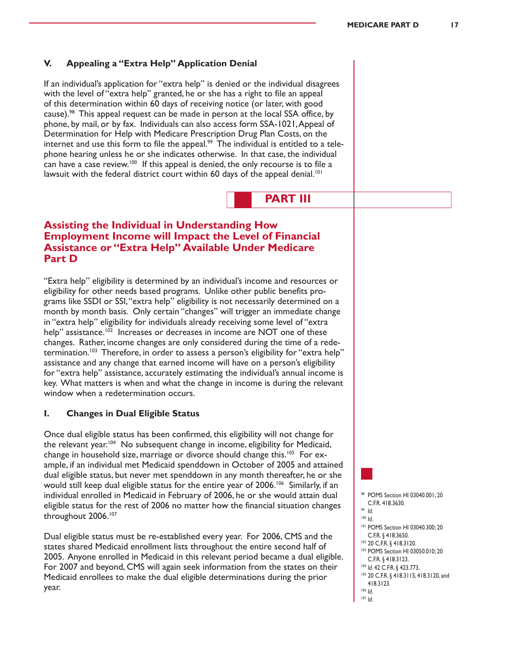#### **V. Appealing a "Extra Help" Application Denial**

If an individual's application for "extra help" is denied or the individual disagrees with the level of "extra help" granted, he or she has a right to file an appeal of this determination within 60 days of receiving notice (or later, with good cause).<sup>98</sup> This appeal request can be made in person at the local SSA office, by phone, by mail, or by fax. Individuals can also access form SSA-1021,Appeal of Determination for Help with Medicare Prescription Drug Plan Costs, on the internet and use this form to file the appeal. $^{99}$  The individual is entitled to a telephone hearing unless he or she indicates otherwise. In that case, the individual can have a case review.<sup>100</sup> If this appeal is denied, the only recourse is to file a lawsuit with the federal district court within 60 days of the appeal denial.<sup>101</sup>

**PART III**

# **Assisting the Individual in Understanding How Employment Income will Impact the Level of Financial Assistance or "Extra Help" Available Under Medicare Part D**

"Extra help" eligibility is determined by an individual's income and resources or eligibility for other needs based programs. Unlike other public benefits programs like SSDI or SSI,"extra help" eligibility is not necessarily determined on a month by month basis. Only certain "changes" will trigger an immediate change in "extra help" eligibility for individuals already receiving some level of "extra help" assistance.<sup>102</sup> Increases or decreases in income are NOT one of these changes. Rather, income changes are only considered during the time of a redetermination.<sup>103</sup> Therefore, in order to assess a person's eligibility for "extra help" assistance and any change that earned income will have on a person's eligibility for "extra help" assistance, accurately estimating the individual's annual income is key. What matters is when and what the change in income is during the relevant window when a redetermination occurs.

#### **I. Changes in Dual Eligible Status**

Once dual eligible status has been confirmed, this eligibility will not change for the relevant year.<sup>104</sup> No subsequent change in income, eligibility for Medicaid, change in household size, marriage or divorce should change this.<sup>105</sup> For example, if an individual met Medicaid spenddown in October of 2005 and attained dual eligible status, but never met spenddown in any month thereafter, he or she would still keep dual eligible status for the entire year of 2006.<sup>106</sup> Similarly, if an individual enrolled in Medicaid in February of 2006, he or she would attain dual eligible status for the rest of 2006 no matter how the financial situation changes throughout 2006.<sup>107</sup>

Dual eligible status must be re-established every year. For 2006, CMS and the states shared Medicaid enrollment lists throughout the entire second half of 2005. Anyone enrolled in Medicaid in this relevant period became a dual eligible. For 2007 and beyond, CMS will again seek information from the states on their Medicaid enrollees to make the dual eligible determinations during the prior year.

- <sup>98</sup> POMS Section HI 03040.001; 20 C.F.R. 418.3630.
- <sup>99</sup> *Id*.
- <sup>100</sup> *Id*.
- <sup>101</sup> POMS Section HI 03040.300; 20 C.F.R. § 418.3650.
- <sup>102</sup> 20 C.F.R. § 418.3120.
- <sup>103</sup> POMS Section HI 03050.010; 20
- C.F.R. § 418.3123.
- <sup>104</sup> *Id*. 42 C.F.R. § 423.773.
- 105 20 C.F.R. § 418.3115, 418.3120, and 418.3123.
- <sup>106</sup> *Id*. <sup>107</sup> *Id*.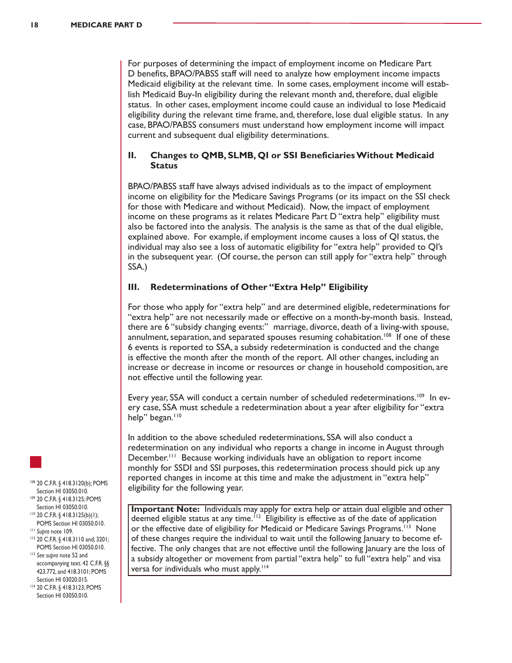For purposes of determining the impact of employment income on Medicare Part D benefits, BPAO/PABSS staff will need to analyze how employment income impacts Medicaid eligibility at the relevant time. In some cases, employment income will establish Medicaid Buy-In eligibility during the relevant month and, therefore, dual eligible status. In other cases, employment income could cause an individual to lose Medicaid eligibility during the relevant time frame, and, therefore, lose dual eligible status. In any case, BPAO/PABSS consumers must understand how employment income will impact current and subsequent dual eligibility determinations.

#### **II. Changes to QMB, SLMB, QI or SSI Beneficiaries Without Medicaid Status**

BPAO/PABSS staff have always advised individuals as to the impact of employment income on eligibility for the Medicare Savings Programs (or its impact on the SSI check for those with Medicare and without Medicaid). Now, the impact of employment income on these programs as it relates Medicare Part D "extra help" eligibility must also be factored into the analysis. The analysis is the same as that of the dual eligible, explained above. For example, if employment income causes a loss of QI status, the individual may also see a loss of automatic eligibility for "extra help" provided to QI's in the subsequent year. (Of course, the person can still apply for "extra help" through SSA.)

#### **III. Redeterminations of Other "Extra Help" Eligibility**

For those who apply for "extra help" and are determined eligible, redeterminations for "extra help" are not necessarily made or effective on a month-by-month basis. Instead, there are 6 "subsidy changing events:" marriage, divorce, death of a living-with spouse, annulment, separation, and separated spouses resuming cohabitation.<sup>108</sup> If one of these 6 events is reported to SSA, a subsidy redetermination is conducted and the change is effective the month after the month of the report. All other changes, including an increase or decrease in income or resources or change in household composition, are not effective until the following year.

Every year, SSA will conduct a certain number of scheduled redeterminations.<sup>109</sup> In every case, SSA must schedule a redetermination about a year after eligibility for "extra help" began. $110$ 

In addition to the above scheduled redeterminations, SSA will also conduct a redetermination on any individual who reports a change in income in August through December.<sup>111</sup> Because working individuals have an obligation to report income monthly for SSDI and SSI purposes, this redetermination process should pick up any reported changes in income at this time and make the adjustment in "extra help" eligibility for the following year.

- <sup>108</sup> 20 C.F.R. § 418.3120(b); POMS Section HI 03050.010. <sup>109</sup> 20 C.F.R. § 418.3125; POMS
- Section HI 03050.010. <sup>110</sup> 20 C.F.R. § 418.3125(b)(1);
- POMS Section HI 03050.010. <sup>111</sup> *Supra* note 109.
- <sup>112</sup> 20 C.F.R. § 418.3110 and; 3201; POMS Section HI 03050.010.
- <sup>113</sup> *See supra* note 52 and accompanying text. 42 C.F.R. §§ 423.772, and 418.3101; POMS Section HI 03020.015.
- <sup>114</sup> 20 C.F.R. § 418.3123; POMS Section HI 03050.010.

**Important Note:** Individuals may apply for extra help or attain dual eligible and other deemed eligible status at any time.<sup> $112$ </sup> Eligibility is effective as of the date of application or the effective date of eligibility for Medicaid or Medicare Savings Programs.<sup>113</sup> None of these changes require the individual to wait until the following January to become effective. The only changes that are not effective until the following January are the loss of a subsidy altogether or movement from partial "extra help" to full "extra help" and visa versa for individuals who must apply.<sup>114</sup>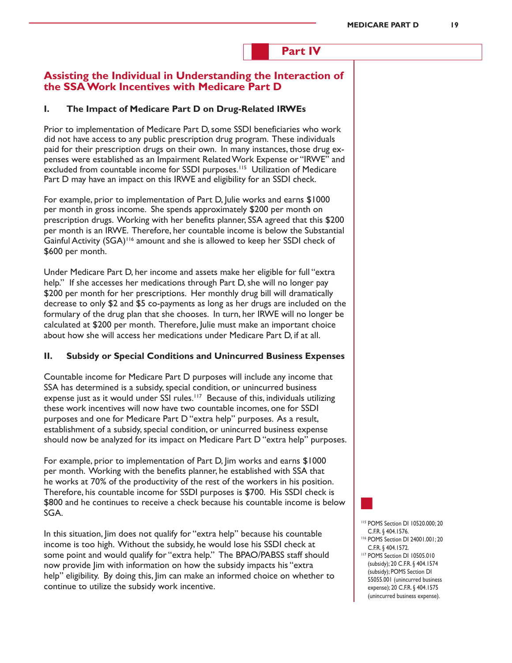# **Part IV**

# **Assisting the Individual in Understanding the Interaction of the SSA Work Incentives with Medicare Part D**

#### **I. The Impact of Medicare Part D on Drug-Related IRWEs**

Prior to implementation of Medicare Part D, some SSDI beneficiaries who work did not have access to any public prescription drug program. These individuals paid for their prescription drugs on their own. In many instances, those drug expenses were established as an Impairment RelatedWork Expense or "IRWE" and excluded from countable income for SSDI purposes.<sup>115</sup> Utilization of Medicare Part D may have an impact on this IRWE and eligibility for an SSDI check.

For example, prior to implementation of Part D, Julie works and earns \$1000 per month in gross income. She spends approximately \$200 per month on prescription drugs. Working with her benefits planner, SSA agreed that this \$200 per month is an IRWE. Therefore, her countable income is below the Substantial Gainful Activity (SGA)<sup>116</sup> amount and she is allowed to keep her SSDI check of \$600 per month.

Under Medicare Part D, her income and assets make her eligible for full "extra help." If she accesses her medications through Part D, she will no longer pay \$200 per month for her prescriptions. Her monthly drug bill will dramatically decrease to only \$2 and \$5 co-payments as long as her drugs are included on the formulary of the drug plan that she chooses. In turn, her IRWE will no longer be calculated at \$200 per month. Therefore, Julie must make an important choice about how she will access her medications under Medicare Part D, if at all.

#### **II. Subsidy or Special Conditions and Unincurred Business Expenses**

Countable income for Medicare Part D purposes will include any income that SSA has determined is a subsidy, special condition, or unincurred business expense just as it would under SSI rules.<sup>117</sup> Because of this, individuals utilizing these work incentives will now have two countable incomes, one for SSDI purposes and one for Medicare Part D "extra help" purposes. As a result, establishment of a subsidy, special condition, or unincurred business expense should now be analyzed for its impact on Medicare Part D "extra help" purposes.

For example, prior to implementation of Part D, Jim works and earns \$1000 per month. Working with the benefits planner, he established with SSA that he works at 70% of the productivity of the rest of the workers in his position. Therefore, his countable income for SSDI purposes is \$700. His SSDI check is \$800 and he continues to receive a check because his countable income is below SGA.

In this situation, Jim does not qualify for "extra help" because his countable income is too high. Without the subsidy, he would lose his SSDI check at some point and would qualify for "extra help." The BPAO/PABSS staff should now provide Jim with information on how the subsidy impacts his "extra help" eligibility. By doing this, Jim can make an informed choice on whether to continue to utilize the subsidy work incentive.

- <sup>115</sup> POMS Section DI 10520.000; 20 C.F.R. § 404.1576.
- <sup>116</sup> POMS Section DI 24001.001; 20 C.F.R. § 404.1572.
- <sup>117</sup> POMS Section DI 10505.010 (subsidy); 20 C.F.R. § 404.1574 (subsidy); POMS Section DI 55055.001 (unincurred business expense); 20 C.F.R. § 404.1575 (unincurred business expense).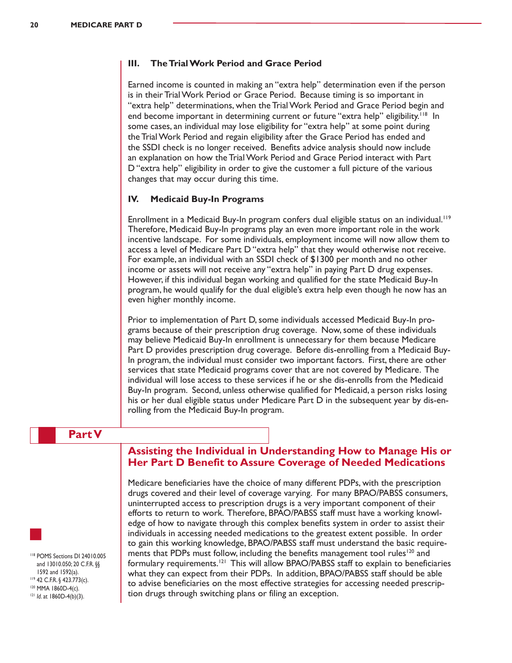#### **III. The Trial Work Period and Grace Period**

Earned income is counted in making an "extra help" determination even if the person is in their Trial Work Period or Grace Period. Because timing is so important in "extra help" determinations, when the Trial Work Period and Grace Period begin and end become important in determining current or future "extra help" eligibility.<sup>118</sup> In some cases, an individual may lose eligibility for "extra help" at some point during the TrialWork Period and regain eligibility after the Grace Period has ended and the SSDI check is no longer received. Benefits advice analysis should now include an explanation on how the TrialWork Period and Grace Period interact with Part D "extra help" eligibility in order to give the customer a full picture of the various changes that may occur during this time.

#### **IV. Medicaid Buy-In Programs**

Enrollment in a Medicaid Buy-In program confers dual eligible status on an individual.<sup>119</sup> Therefore, Medicaid Buy-In programs play an even more important role in the work incentive landscape. For some individuals, employment income will now allow them to access a level of Medicare Part D "extra help" that they would otherwise not receive. For example, an individual with an SSDI check of \$1300 per month and no other income or assets will not receive any "extra help" in paying Part D drug expenses. However, if this individual began working and qualified for the state Medicaid Buy-In program, he would qualify for the dual eligible's extra help even though he now has an even higher monthly income.

Prior to implementation of Part D, some individuals accessed Medicaid Buy-In programs because of their prescription drug coverage. Now,some of these individuals may believe Medicaid Buy-In enrollment is unnecessary for them because Medicare Part D provides prescription drug coverage. Before dis-enrolling from a Medicaid Buy-In program, the individual must consider two important factors. First, there are other services that state Medicaid programs cover that are not covered by Medicare. The individual will lose access to these services if he or she dis-enrolls from the Medicaid Buy-In program. Second, unless otherwise qualified for Medicaid, a person risks losing his or her dual eligible status under Medicare Part D in the subsequent year by dis-enrolling from the Medicaid Buy-In program.

## **Part V**



<sup>121</sup> *Id*. at 1860D-4(b)(3).

# **Assisting the Individual in Understanding How to Manage His or Her Part D Benefit to Assure Coverage of Needed Medications**

Medicare beneficiaries have the choice of many different PDPs, with the prescription drugs covered and their level of coverage varying. For many BPAO/PABSS consumers, uninterrupted access to prescription drugs is a very important component of their efforts to return to work. Therefore, BPAO/PABSS staff must have a working knowledge of how to navigate through this complex benefits system in order to assist their individuals in accessing needed medications to the greatest extent possible. In order to gain this working knowledge, BPAO/PABSS staff must understand the basic requirements that PDPs must follow, including the benefits management tool rules<sup>120</sup> and formulary requirements.<sup>121</sup> This will allow BPAO/PABSS staff to explain to beneficiaries what they can expect from their PDPs. In addition, BPAO/PABSS staff should be able to advise beneficiaries on the most effective strategies for accessing needed prescription drugs through switching plans or filing an exception.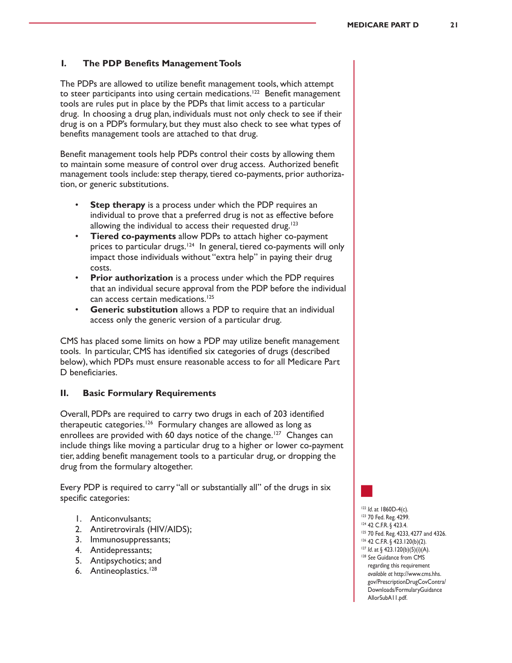#### **I. The PDP Benefits Management Tools**

The PDPs are allowed to utilize benefit management tools, which attempt to steer participants into using certain medications.<sup>122</sup> Benefit management tools are rules put in place by the PDPs that limit access to a particular drug. In choosing a drug plan, individuals must not only check to see if their drug is on a PDP's formulary, but they must also check to see what types of benefits management tools are attached to that drug.

Benefit management tools help PDPs control their costs by allowing them to maintain some measure of control over drug access. Authorized benefit management tools include: step therapy, tiered co-payments, prior authorization, or generic substitutions.

- **Step therapy** is a process under which the PDP requires an individual to prove that a preferred drug is not as effective before allowing the individual to access their requested drug.<sup>123</sup>
- **Tiered co-payments** allow PDPs to attach higher co-payment prices to particular drugs.<sup>124</sup> In general, tiered co-payments will only impact those individuals without "extra help" in paying their drug costs.
- **Prior authorization** is a process under which the PDP requires that an individual secure approval from the PDP before the individual can access certain medications.<sup>125</sup>
- **Generic substitution** allows a PDP to require that an individual access only the generic version of a particular drug.

CMS has placed some limits on how a PDP may utilize benefit management tools. In particular, CMS has identified six categories of drugs (described below), which PDPs must ensure reasonable access to for all Medicare Part D beneficiaries.

#### **II. Basic Formulary Requirements**

Overall, PDPs are required to carry two drugs in each of 203 identified therapeutic categories.<sup>126</sup> Formulary changes are allowed as long as enrollees are provided with 60 days notice of the change.<sup>127</sup> Changes can include things like moving a particular drug to a higher or lower co-payment tier, adding benefit management tools to a particular drug, or dropping the drug from the formulary altogether.

Every PDP is required to carry "all or substantially all" of the drugs in six specific categories:

- 1. Anticonvulsants;
- 2. Antiretrovirals (HIV/AIDS);
- 3. Immunosuppressants;
- 4. Antidepressants;
- 5. Antipsychotics; and
- 6. Antineoplastics.<sup>128</sup>

<sup>122</sup> *Id*. at 1860D-4(c).

- <sup>123</sup> 70 Fed. Reg. 4299.
- 124 42 C.F.R. § 423.4.
- 125 70 Fed. Reg. 4233, 4277 and 4326.
- <sup>126</sup> 42 C.F.R. § 423.120(b)(2).
- 127 *Id.* at § 423.120(b)(5)(i)(A). <sup>128</sup> *See* Guidance from CMS regarding this requirement *available at* http://www.cms.hhs. gov/PrescriptionDrugCovContra/ Downloads/FormularyGuidance AllorSubA11.pdf.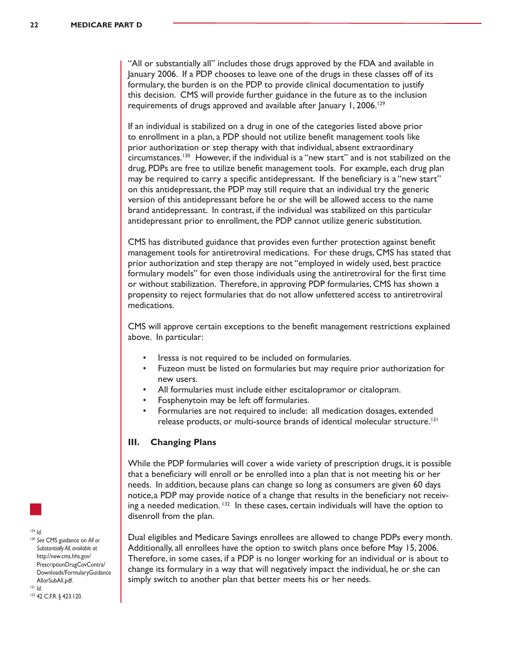"All or substantially all" includes those drugs approved by the FDA and available in January 2006. If a PDP chooses to leave one of the drugs in these classes off of its formulary, the burden is on the PDP to provide clinical documentation to justify this decision. CMS will provide further guidance in the future as to the inclusion requirements of drugs approved and available after January 1, 2006.<sup>129</sup>

If an individual is stabilized on a drug in one of the categories listed above prior to enrollment in a plan, a PDP should not utilize benefit management tools like prior authorization or step therapy with that individual, absent extraordinary circumstances.<sup>130</sup> However, if the individual is a "new start" and is not stabilized on the drug, PDPs are free to utilize benefit management tools. For example, each drug plan may be required to carry a specific antidepressant. If the beneficiary is a "new start" on this antidepressant, the PDP may still require that an individual try the generic version of this antidepressant before he or she will be allowed access to the name brand antidepressant. In contrast, if the individual was stabilized on this particular antidepressant prior to enrollment, the PDP cannot utilize generic substitution.

CMS has distributed guidance that provides even further protection against benefit management tools for antiretroviral medications. For these drugs, CMS has stated that prior authorization and step therapy are not "employed in widely used, best practice formulary models" for even those individuals using the antiretroviral for the first time or without stabilization. Therefore, in approving PDP formularies, CMS has shown a propensity to reject formularies that do not allow unfettered access to antiretroviral medications.

CMS will approve certain exceptions to the benefit management restrictions explained above. In particular:

- Iressa is not required to be included on formularies.
- Fuzeon must be listed on formularies but may require prior authorization for new users.
- All formularies must include either escitalopramor or citalopram.
- Fosphenytoin may be left off formularies.
- Formularies are not required to include: all medication dosages, extended release products, or multi-source brands of identical molecular structure.131

#### **III. Changing Plans**

While the PDP formularies will cover a wide variety of prescription drugs, it is possible that a beneficiary will enroll or be enrolled into a plan that is not meeting his or her needs. In addition, because plans can change so long as consumers are given 60 days notice,a PDP may provide notice of a change that results in the beneficiary not receiving a needed medication.  $132$  In these cases, certain individuals will have the option to disenroll from the plan.

Dual eligibles and Medicare Savings enrollees are allowed to change PDPs every month. Additionally, all enrollees have the option to switch plans once before May 15, 2006. Therefore, in some cases, if a PDP is no longer working for an individual or is about to change its formulary in a way that will negatively impact the individual, he or she can simply switch to another plan that better meets his or her needs.

<sup>129</sup> *Id*.

<sup>130</sup> *See* CMS guidance on *All or Substantially All*, *available at* http://new.cms.hhs.gov/ PrescriptionDrugCovContra/ Downloads/FormularyGuidance AllorSubAll.pdf. <sup>131</sup> *Id*.

132 42 C.F.R. § 423.120.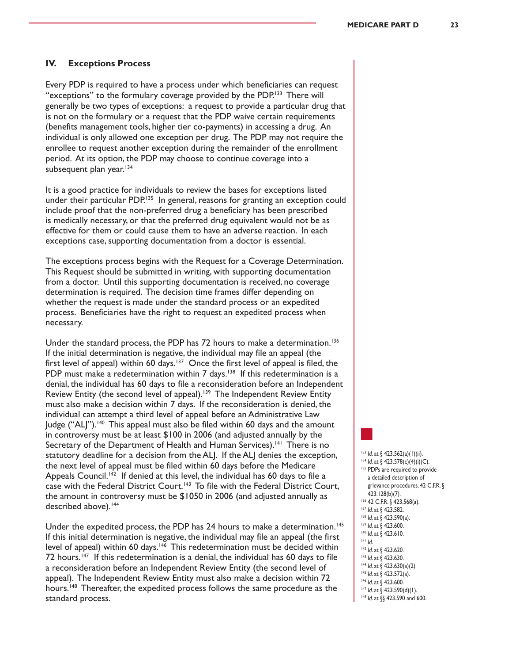#### **IV. Exceptions Process**

Every PDP is required to have a process under which beneficiaries can request "exceptions" to the formulary coverage provided by the PDP.<sup>133</sup> There will generally be two types of exceptions: a request to provide a particular drug that is not on the formulary or a request that the PDP waive certain requirements (benefits management tools, higher tier co-payments) in accessing a drug. An individual is only allowed one exception per drug. The PDP may not require the enrollee to request another exception during the remainder of the enrollment period. At its option, the PDP may choose to continue coverage into a subsequent plan year.<sup>134</sup>

It is a good practice for individuals to review the bases for exceptions listed under their particular PDP.<sup>135</sup> In general, reasons for granting an exception could include proof that the non-preferred drug a beneficiary has been prescribed is medically necessary, or that the preferred drug equivalent would not be as effective for them or could cause them to have an adverse reaction. In each exceptions case, supporting documentation from a doctor is essential.

The exceptions process begins with the Request for a Coverage Determination. This Request should be submitted in writing, with supporting documentation from a doctor. Until this supporting documentation is received, no coverage determination is required. The decision time frames differ depending on whether the request is made under the standard process or an expedited process. Beneficiaries have the right to request an expedited process when necessary.

Under the standard process, the PDP has 72 hours to make a determination.<sup>136</sup> If the initial determination is negative, the individual may file an appeal (the first level of appeal) within 60 days.<sup>137</sup> Once the first level of appeal is filed, the PDP must make a redetermination within  $7$  days.<sup>138</sup> If this redetermination is a denial, the individual has 60 days to file a reconsideration before an Independent Review Entity (the second level of appeal).<sup>139</sup> The Independent Review Entity must also make a decision within 7 days. If the reconsideration is denied, the individual can attempt a third level of appeal before an Administrative Law Judge ("ALJ").<sup>140</sup> This appeal must also be filed within 60 days and the amount in controversy must be at least \$100 in 2006 (and adjusted annually by the Secretary of the Department of Health and Human Services).<sup>141</sup> There is no statutory deadline for a decision from the ALJ. If the ALJ denies the exception, the next level of appeal must be filed within 60 days before the Medicare Appeals Council.<sup>142</sup> If denied at this level, the individual has 60 days to file a case with the Federal District Court.<sup>143</sup> To file with the Federal District Court, the amount in controversy must be \$1050 in 2006 (and adjusted annually as described above).<sup>144</sup>

Under the expedited process, the PDP has 24 hours to make a determination.<sup>145</sup> If this initial determination is negative, the individual may file an appeal (the first level of appeal) within 60 days.<sup>146</sup> This redetermination must be decided within 72 hours.<sup>147</sup> If this redetermination is a denial, the individual has 60 days to file a reconsideration before an Independent Review Entity (the second level of appeal). The Independent Review Entity must also make a decision within 72 hours.<sup>148</sup> Thereafter, the expedited process follows the same procedure as the standard process.

 *Id*. at § 423.562(a)(1)(ii). *Id.* at § 423.578(c)(4)(i)(C). 135 PDPs are required to provide a detailed description of grievance procedures. 42 C.F.R. § 423.128(b)(7). 136 42 C.F.R. § 423.568(a). *Id*. at § 423.582. *Id*. at § 423.590(a). *Id*. at § 423.600. *Id*. at § 423.610. <sup>141</sup> *Id*. *Id*. at § 423.620. *Id*. at § 423.630. *Id*. at § 423.630(a)(2) *Id*. at § 423.572(a). *Id*. at § 423.600. *Id.* at § 423.590(d)(1).

148 *Id.* at §§ 423.590 and 600.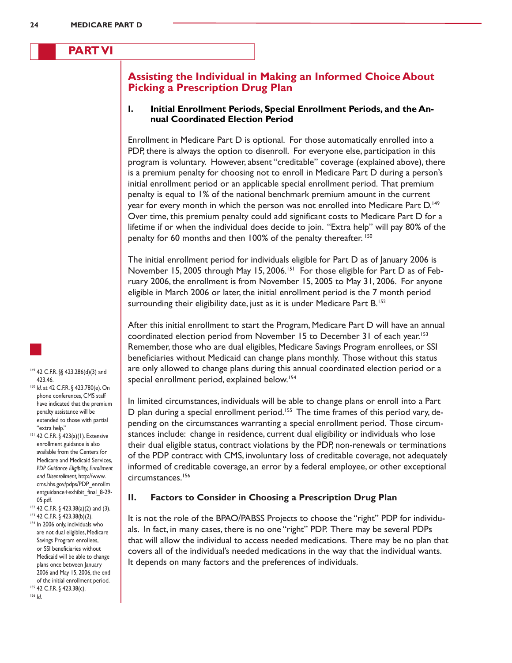# **PART VI**

# **Assisting the Individual in Making an Informed Choice About Picking a Prescription Drug Plan**

#### **I. Initial Enrollment Periods, Special Enrollment Periods, and the Annual Coordinated Election Period**

Enrollment in Medicare Part D is optional. For those automatically enrolled into a PDP, there is always the option to disenroll. For everyone else, participation in this program is voluntary. However, absent "creditable" coverage (explained above), there is a premium penalty for choosing not to enroll in Medicare Part D during a person's initial enrollment period or an applicable special enrollment period. That premium penalty is equal to 1% of the national benchmark premium amount in the current year for every month in which the person was not enrolled into Medicare Part D.<sup>149</sup> Over time, this premium penalty could add significant costs to Medicare Part D for a lifetime if or when the individual does decide to join. "Extra help" will pay 80% of the penalty for 60 months and then 100% of the penalty thereafter. <sup>150</sup>

The initial enrollment period for individuals eligible for Part D as of January 2006 is November 15, 2005 through May 15, 2006.<sup>151</sup> For those eligible for Part D as of February 2006, the enrollment is from November 15, 2005 to May 31, 2006. For anyone eligible in March 2006 or later, the initial enrollment period is the 7 month period surrounding their eligibility date, just as it is under Medicare Part B.<sup>152</sup>

After this initial enrollment to start the Program, Medicare Part D will have an annual coordinated election period from November 15 to December 31 of each year.<sup>153</sup> Remember, those who are dual eligibles, Medicare Savings Program enrollees, or SSI beneficiaries without Medicaid can change plans monthly. Those without this status are only allowed to change plans during this annual coordinated election period or a special enrollment period, explained below.<sup>154</sup>

In limited circumstances, individuals will be able to change plans or enroll into a Part D plan during a special enrollment period.<sup>155</sup> The time frames of this period vary, depending on the circumstances warranting a special enrollment period. Those circumstances include: change in residence, current dual eligibility or individuals who lose their dual eligible status, contract violations by the PDP, non-renewals or terminations of the PDP contract with CMS, involuntary loss of creditable coverage, not adequately informed of creditable coverage, an error by a federal employee, or other exceptional circumstances.<sup>156</sup>

#### **II. Factors to Consider in Choosing a Prescription Drug Plan**

It is not the role of the BPAO/PABSS Projects to choose the "right" PDP for individuals. In fact, in many cases, there is no one "right" PDP. There may be several PDPs that will allow the individual to access needed medications. There may be no plan that covers all of the individual's needed medications in the way that the individual wants. It depends on many factors and the preferences of individuals.

149 42 C.F.R. §§ 423.286(d)(3) and

- 423.46. <sup>150</sup> *Id*. at 42 C.F.R. § 423.780(e). On phone conferences, CMS staff have indicated that the premium penalty assistance will be extended to those with partial "extra help."
- <sup>151</sup> 42 C.F.R. § 423(a)(1). Extensive enrollment guidance is also available from the Centers for Medicare and Medicaid Services, *PDP Guidance Eligibility, Enrollment and Disenrollment,* http://www. cms.hhs.gov/pdps/PDP\_enrollm entguidance+exhibit\_final\_8-29- 05.pdf.
- <sup>152</sup> 42 C.F.R. § 423.38(a)(2) and (3). <sup>153</sup> 42 C.F.R. § 423.38(b)(2).
- 154 In 2006 only, individuals who are not dual eligibles, Medicare Savings Program enrollees, or SSI beneficiaries without Medicaid will be able to change plans once between January 2006 and May 15, 2006, the end of the initial enrollment period. 155 42 C.F.R. § 423.38(c).

<sup>156</sup> *Id*.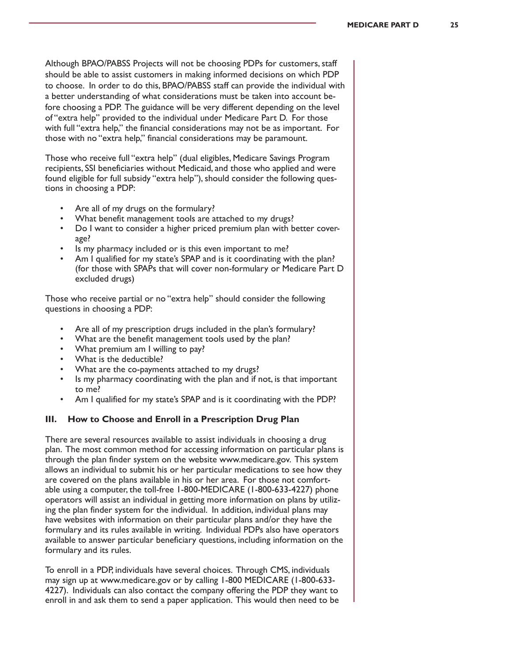Although BPAO/PABSS Projects will not be choosing PDPs for customers, staff should be able to assist customers in making informed decisions on which PDP to choose. In order to do this, BPAO/PABSS staff can provide the individual with a better understanding of what considerations must be taken into account before choosing a PDP. The guidance will be very different depending on the level of "extra help" provided to the individual under Medicare Part D. For those with full "extra help," the financial considerations may not be as important. For those with no "extra help," financial considerations may be paramount.

Those who receive full "extra help" (dual eligibles, Medicare Savings Program recipients, SSI beneficiaries without Medicaid, and those who applied and were found eligible for full subsidy "extra help"), should consider the following questions in choosing a PDP:

- Are all of my drugs on the formulary?
- What benefit management tools are attached to my drugs?
- Do I want to consider a higher priced premium plan with better coverage?
- Is my pharmacy included or is this even important to me?
- Am I qualified for my state's SPAP and is it coordinating with the plan? (for those with SPAPs that will cover non-formulary or Medicare Part D excluded drugs)

Those who receive partial or no "extra help" should consider the following questions in choosing a PDP:

- Are all of my prescription drugs included in the plan's formulary?
- What are the benefit management tools used by the plan?
- What premium am I willing to pay?
- What is the deductible?
- What are the co-payments attached to my drugs?
- Is my pharmacy coordinating with the plan and if not, is that important to me?
- Am I qualified for my state's SPAP and is it coordinating with the PDP?

#### **III. How to Choose and Enroll in a Prescription Drug Plan**

There are several resources available to assist individuals in choosing a drug plan. The most common method for accessing information on particular plans is through the plan finder system on the website www.medicare.gov. This system allows an individual to submit his or her particular medications to see how they are covered on the plans available in his or her area. For those not comfortable using a computer, the toll-free 1-800-MEDICARE (1-800-633-4227) phone operators will assist an individual in getting more information on plans by utilizing the plan finder system for the individual. In addition, individual plans may have websites with information on their particular plans and/or they have the formulary and its rules available in writing. Individual PDPs also have operators available to answer particular beneficiary questions, including information on the formulary and its rules.

To enroll in a PDP, individuals have several choices. Through CMS, individuals may sign up at www.medicare.gov or by calling 1-800 MEDICARE (1-800-633- 4227). Individuals can also contact the company offering the PDP they want to enroll in and ask them to send a paper application. This would then need to be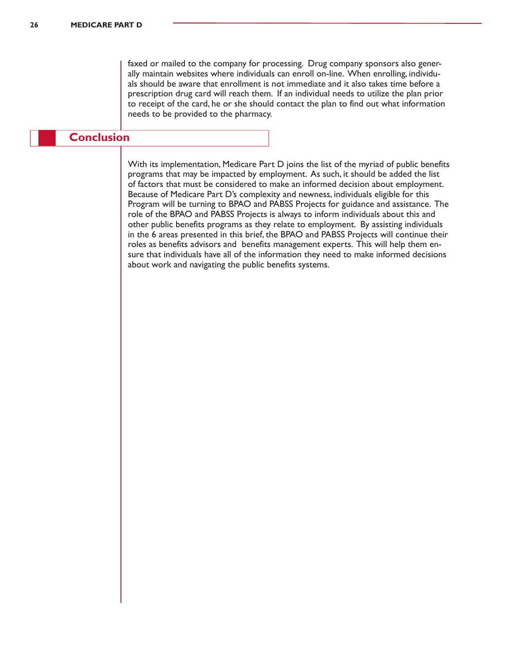faxed or mailed to the company for processing. Drug company sponsors also generally maintain websites where individuals can enroll on-line. When enrolling, individuals should be aware that enrollment is not immediate and it also takes time before a prescription drug card will reach them. If an individual needs to utilize the plan prior to receipt of the card, he or she should contact the plan to find out what information needs to be provided to the pharmacy.

# **Conclusion**

With its implementation, Medicare Part D joins the list of the myriad of public benefits programs that may be impacted by employment. As such, it should be added the list of factors that must be considered to make an informed decision about employment. Because of Medicare Part D's complexity and newness, individuals eligible for this Program will be turning to BPAO and PABSS Projects for guidance and assistance. The role of the BPAO and PABSS Projects is always to inform individuals about this and other public benefits programs as they relate to employment. By assisting individuals in the 6 areas presented in this brief, the BPAO and PABSS Projects will continue their roles as benefits advisors and benefits management experts. This will help them ensure that individuals have all of the information they need to make informed decisions about work and navigating the public benefits systems.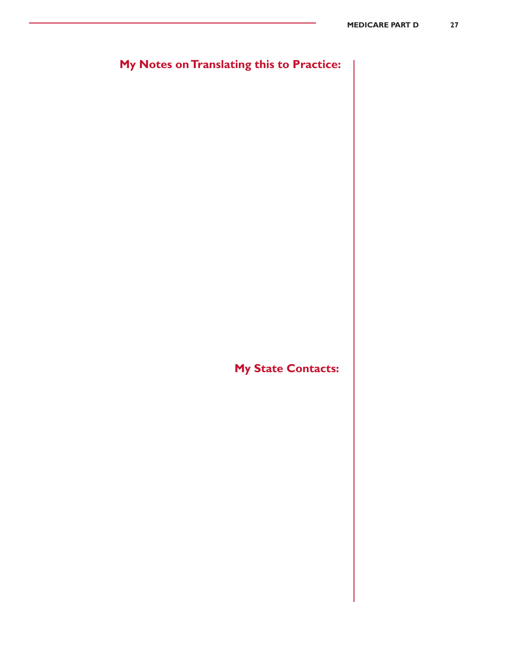# **My Notes on Translating this to Practice:**

**My State Contacts:**